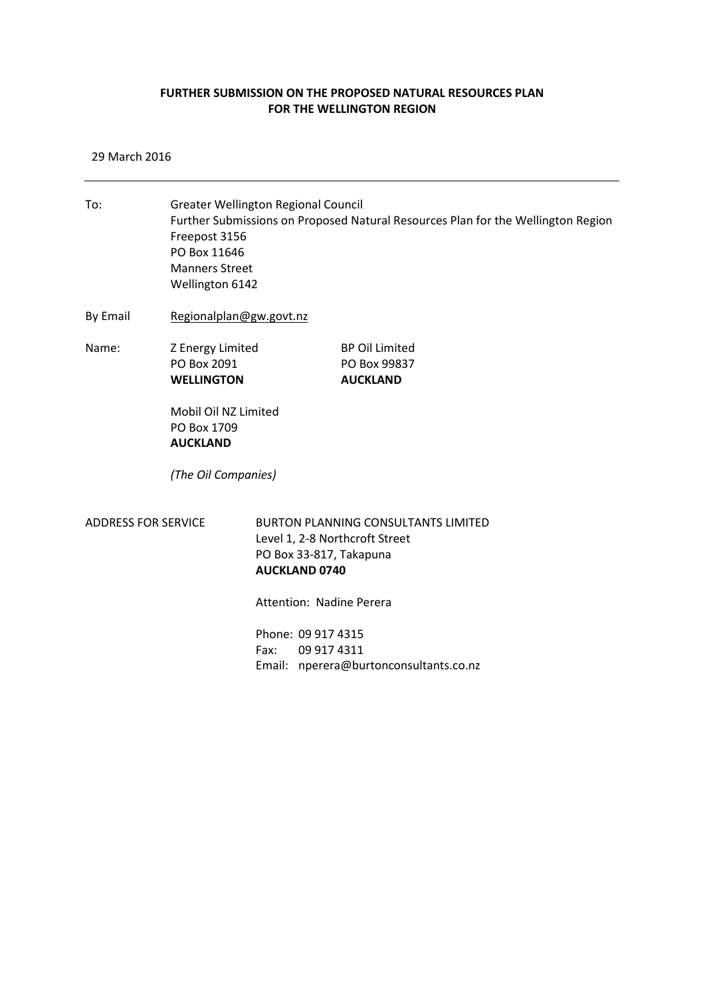## **FURTHER SUBMISSION ON THE PROPOSED NATURAL RESOURCES PLAN FOR THE WELLINGTON REGION**

29 March 2016

To: Greater Wellington Regional Council Further Submissions on Proposed Natural Resources Plan for the Wellington Region Freepost 3156 PO Box 11646 Manners Street Wellington 6142 By Email [Regionalplan@gw.govt.nz](mailto:Regionalplan@gw.govt.nz) Name: Z Energy Limited BP Oil Limited PO Box 2091 PO Box 99837 **WELLINGTON AUCKLAND** Mobil Oil NZ Limited PO Box 1709 **AUCKLAND** *(The Oil Companies)*

ADDRESS FOR SERVICE BURTON PLANNING CONSULTANTS LIMITED Level 1, 2-8 Northcroft Street PO Box 33-817, Takapuna **AUCKLAND 0740**

Attention: Nadine Perera

Phone: 09 917 4315 Fax: 09 917 4311 Email: nperera@burtonconsultants.co.nz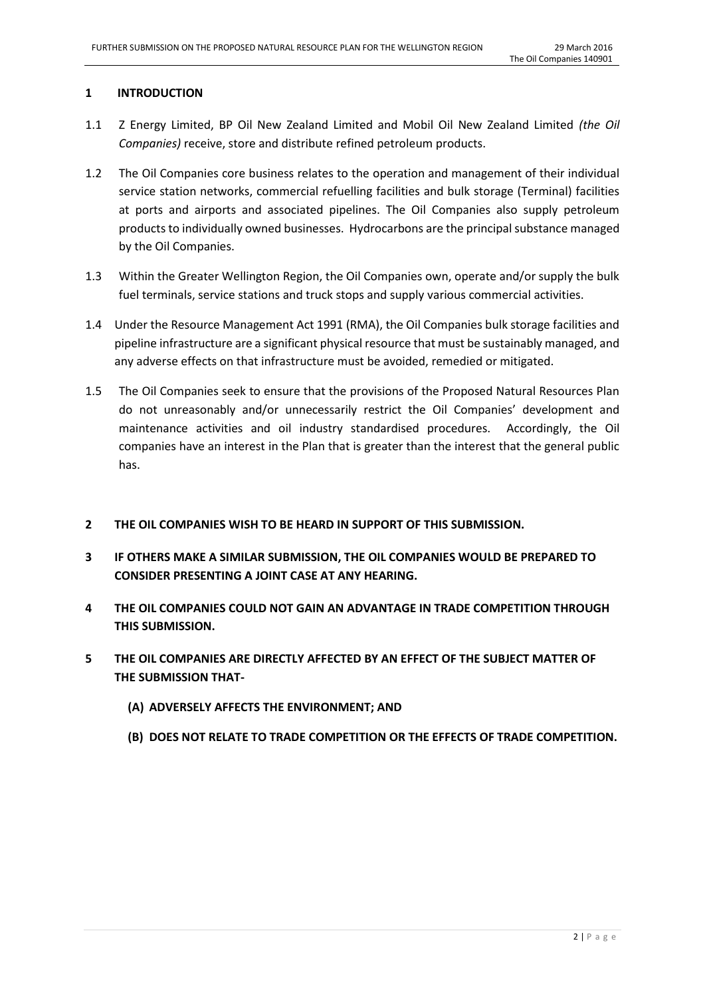## **1 INTRODUCTION**

- 1.1 Z Energy Limited, BP Oil New Zealand Limited and Mobil Oil New Zealand Limited *(the Oil Companies)* receive, store and distribute refined petroleum products.
- 1.2 The Oil Companies core business relates to the operation and management of their individual service station networks, commercial refuelling facilities and bulk storage (Terminal) facilities at ports and airports and associated pipelines. The Oil Companies also supply petroleum products to individually owned businesses. Hydrocarbons are the principal substance managed by the Oil Companies.
- 1.3 Within the Greater Wellington Region, the Oil Companies own, operate and/or supply the bulk fuel terminals, service stations and truck stops and supply various commercial activities.
- 1.4 Under the Resource Management Act 1991 (RMA), the Oil Companies bulk storage facilities and pipeline infrastructure are a significant physical resource that must be sustainably managed, and any adverse effects on that infrastructure must be avoided, remedied or mitigated.
- 1.5 The Oil Companies seek to ensure that the provisions of the Proposed Natural Resources Plan do not unreasonably and/or unnecessarily restrict the Oil Companies' development and maintenance activities and oil industry standardised procedures. Accordingly, the Oil companies have an interest in the Plan that is greater than the interest that the general public has.
- **2 THE OIL COMPANIES WISH TO BE HEARD IN SUPPORT OF THIS SUBMISSION.**
- **3 IF OTHERS MAKE A SIMILAR SUBMISSION, THE OIL COMPANIES WOULD BE PREPARED TO CONSIDER PRESENTING A JOINT CASE AT ANY HEARING.**
- **4 THE OIL COMPANIES COULD NOT GAIN AN ADVANTAGE IN TRADE COMPETITION THROUGH THIS SUBMISSION.**
- **5 THE OIL COMPANIES ARE DIRECTLY AFFECTED BY AN EFFECT OF THE SUBJECT MATTER OF THE SUBMISSION THAT-**
	- **(A) ADVERSELY AFFECTS THE ENVIRONMENT; AND**
	- **(B) DOES NOT RELATE TO TRADE COMPETITION OR THE EFFECTS OF TRADE COMPETITION.**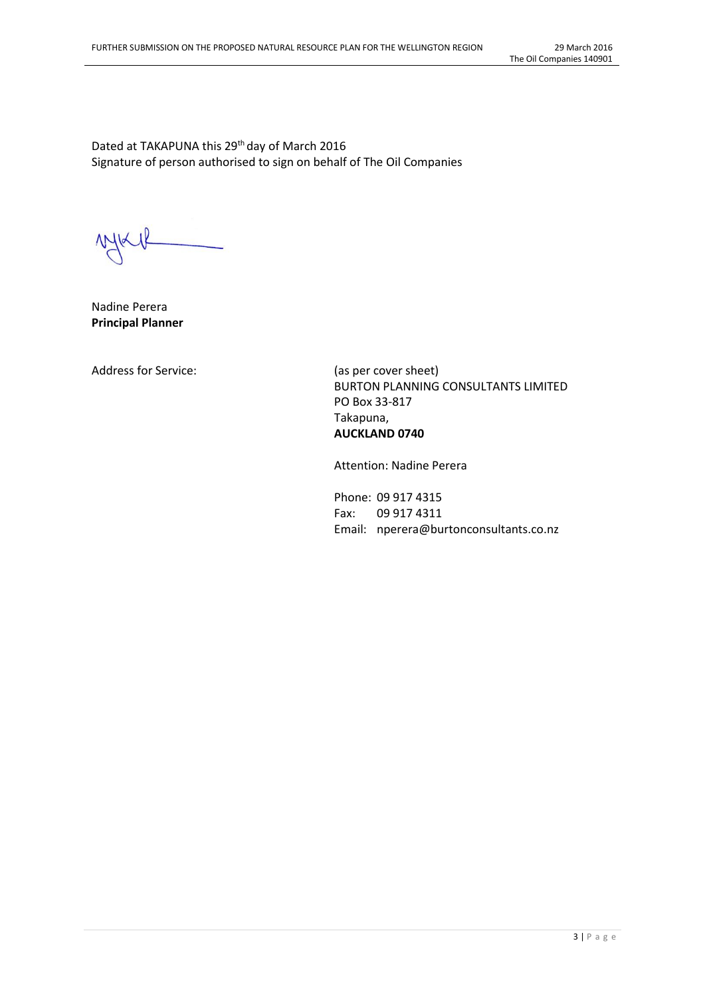Dated at TAKAPUNA this 29<sup>th</sup> day of March 2016 Signature of person authorised to sign on behalf of The Oil Companies

Nadine Perera **Principal Planner**

Address for Service: (as per cover sheet)

BURTON PLANNING CONSULTANTS LIMITED PO Box 33-817 Takapuna, **AUCKLAND 0740**

Attention: Nadine Perera

Phone: 09 917 4315 Fax: 09 917 4311 Email: nperera@burtonconsultants.co.nz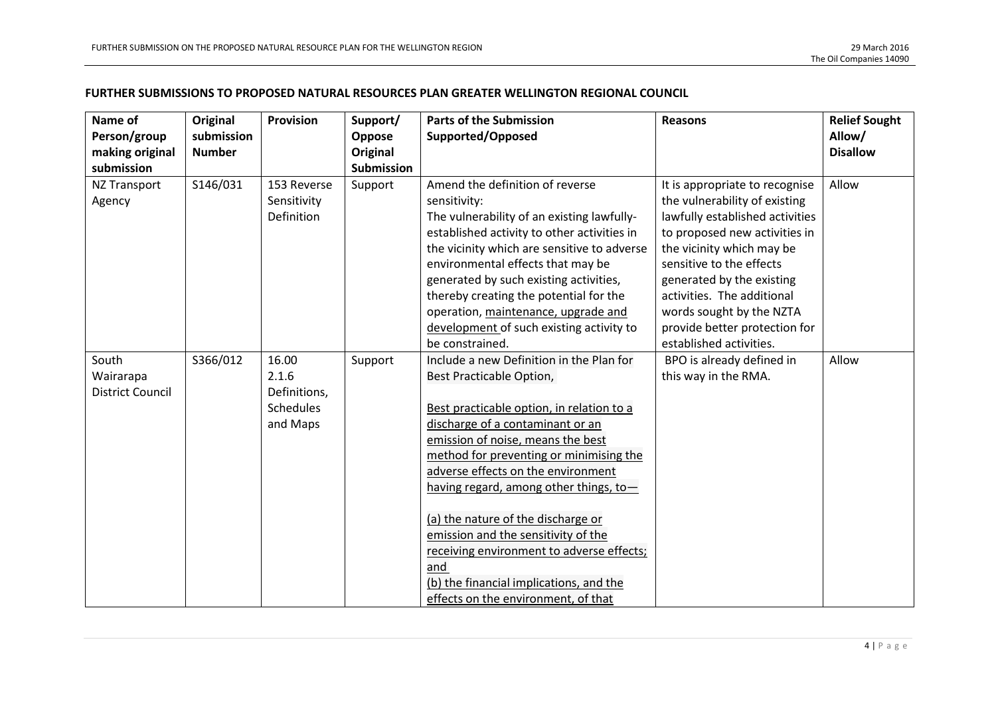## **FURTHER SUBMISSIONS TO PROPOSED NATURAL RESOURCES PLAN GREATER WELLINGTON REGIONAL COUNCIL**

| Name of                 | Original      | <b>Provision</b> | Support/          | <b>Parts of the Submission</b>              | <b>Reasons</b>                  | <b>Relief Sought</b> |
|-------------------------|---------------|------------------|-------------------|---------------------------------------------|---------------------------------|----------------------|
| Person/group            | submission    |                  | Oppose            | Supported/Opposed                           |                                 | Allow/               |
| making original         | <b>Number</b> |                  | Original          |                                             |                                 | <b>Disallow</b>      |
| submission              |               |                  | <b>Submission</b> |                                             |                                 |                      |
| NZ Transport            | S146/031      | 153 Reverse      | Support           | Amend the definition of reverse             | It is appropriate to recognise  | Allow                |
| Agency                  |               | Sensitivity      |                   | sensitivity:                                | the vulnerability of existing   |                      |
|                         |               | Definition       |                   | The vulnerability of an existing lawfully-  | lawfully established activities |                      |
|                         |               |                  |                   | established activity to other activities in | to proposed new activities in   |                      |
|                         |               |                  |                   | the vicinity which are sensitive to adverse | the vicinity which may be       |                      |
|                         |               |                  |                   | environmental effects that may be           | sensitive to the effects        |                      |
|                         |               |                  |                   | generated by such existing activities,      | generated by the existing       |                      |
|                         |               |                  |                   | thereby creating the potential for the      | activities. The additional      |                      |
|                         |               |                  |                   | operation, maintenance, upgrade and         | words sought by the NZTA        |                      |
|                         |               |                  |                   | development of such existing activity to    | provide better protection for   |                      |
|                         |               |                  |                   | be constrained.                             | established activities.         |                      |
| South                   | S366/012      | 16.00            | Support           | Include a new Definition in the Plan for    | BPO is already defined in       | Allow                |
| Wairarapa               |               | 2.1.6            |                   | Best Practicable Option,                    | this way in the RMA.            |                      |
| <b>District Council</b> |               | Definitions,     |                   |                                             |                                 |                      |
|                         |               | <b>Schedules</b> |                   | Best practicable option, in relation to a   |                                 |                      |
|                         |               | and Maps         |                   | discharge of a contaminant or an            |                                 |                      |
|                         |               |                  |                   | emission of noise, means the best           |                                 |                      |
|                         |               |                  |                   | method for preventing or minimising the     |                                 |                      |
|                         |               |                  |                   | adverse effects on the environment          |                                 |                      |
|                         |               |                  |                   | having regard, among other things, to-      |                                 |                      |
|                         |               |                  |                   |                                             |                                 |                      |
|                         |               |                  |                   | (a) the nature of the discharge or          |                                 |                      |
|                         |               |                  |                   | emission and the sensitivity of the         |                                 |                      |
|                         |               |                  |                   | receiving environment to adverse effects;   |                                 |                      |
|                         |               |                  |                   | and                                         |                                 |                      |
|                         |               |                  |                   | (b) the financial implications, and the     |                                 |                      |
|                         |               |                  |                   | effects on the environment, of that         |                                 |                      |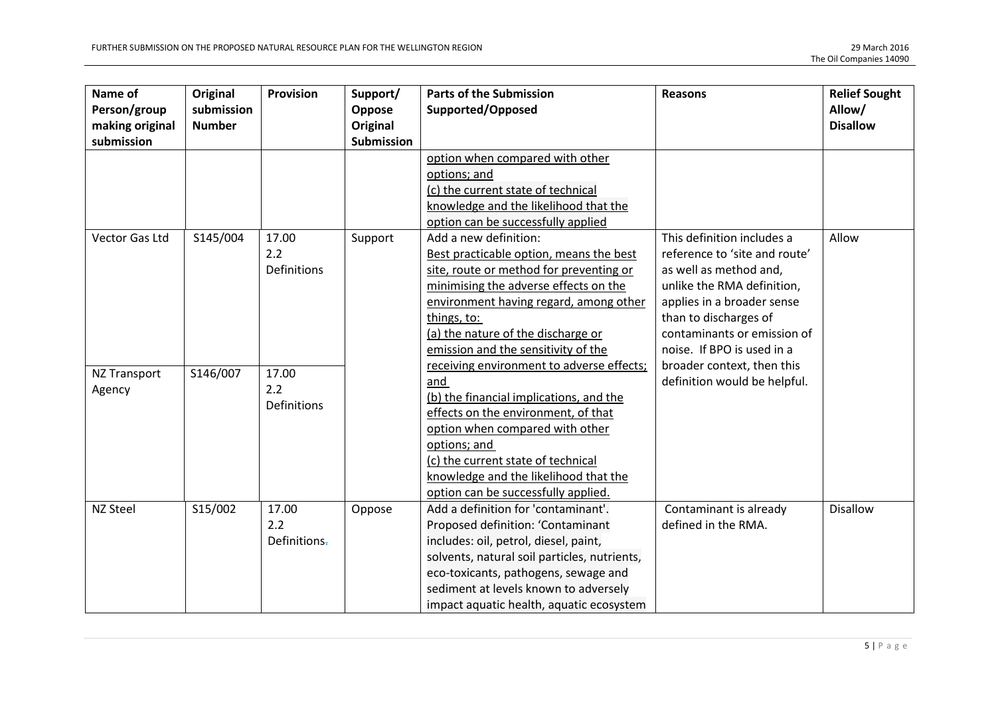| Name of<br>Person/group<br>making original | Original<br>submission<br><b>Number</b> | Provision          | Support/<br>Oppose<br>Original | <b>Parts of the Submission</b><br>Supported/Opposed                           | <b>Reasons</b>                | <b>Relief Sought</b><br>Allow/<br><b>Disallow</b> |
|--------------------------------------------|-----------------------------------------|--------------------|--------------------------------|-------------------------------------------------------------------------------|-------------------------------|---------------------------------------------------|
| submission                                 |                                         |                    | <b>Submission</b>              |                                                                               |                               |                                                   |
|                                            |                                         |                    |                                | option when compared with other                                               |                               |                                                   |
|                                            |                                         |                    |                                | options; and                                                                  |                               |                                                   |
|                                            |                                         |                    |                                | (c) the current state of technical                                            |                               |                                                   |
|                                            |                                         |                    |                                | knowledge and the likelihood that the                                         |                               |                                                   |
|                                            |                                         |                    |                                | option can be successfully applied                                            |                               |                                                   |
| Vector Gas Ltd                             | S145/004                                | 17.00              | Support                        | Add a new definition:                                                         | This definition includes a    | Allow                                             |
|                                            |                                         | 2.2                |                                | Best practicable option, means the best                                       | reference to 'site and route' |                                                   |
|                                            |                                         | <b>Definitions</b> |                                | site, route or method for preventing or                                       | as well as method and,        |                                                   |
|                                            |                                         |                    |                                | minimising the adverse effects on the                                         | unlike the RMA definition,    |                                                   |
|                                            |                                         |                    |                                | environment having regard, among other                                        | applies in a broader sense    |                                                   |
|                                            |                                         |                    |                                | things, to:                                                                   | than to discharges of         |                                                   |
|                                            |                                         |                    |                                | (a) the nature of the discharge or                                            | contaminants or emission of   |                                                   |
|                                            |                                         |                    |                                | emission and the sensitivity of the                                           | noise. If BPO is used in a    |                                                   |
| <b>NZ Transport</b>                        | S146/007                                | 17.00              |                                | receiving environment to adverse effects;                                     | broader context, then this    |                                                   |
| Agency                                     |                                         | 2.2                |                                | and                                                                           | definition would be helpful.  |                                                   |
|                                            |                                         | <b>Definitions</b> |                                | (b) the financial implications, and the                                       |                               |                                                   |
|                                            |                                         |                    |                                | effects on the environment, of that                                           |                               |                                                   |
|                                            |                                         |                    |                                | option when compared with other                                               |                               |                                                   |
|                                            |                                         |                    |                                | options; and                                                                  |                               |                                                   |
|                                            |                                         |                    |                                | (c) the current state of technical                                            |                               |                                                   |
|                                            |                                         |                    |                                | knowledge and the likelihood that the                                         |                               |                                                   |
|                                            |                                         |                    |                                | option can be successfully applied.                                           |                               |                                                   |
| NZ Steel                                   | S15/002                                 | 17.00              | Oppose                         | Add a definition for 'contaminant'.                                           | Contaminant is already        | <b>Disallow</b>                                   |
|                                            |                                         | 2.2                |                                | Proposed definition: 'Contaminant                                             | defined in the RMA.           |                                                   |
|                                            |                                         | Definitions-       |                                | includes: oil, petrol, diesel, paint,                                         |                               |                                                   |
|                                            |                                         |                    |                                | solvents, natural soil particles, nutrients,                                  |                               |                                                   |
|                                            |                                         |                    |                                | eco-toxicants, pathogens, sewage and<br>sediment at levels known to adversely |                               |                                                   |
|                                            |                                         |                    |                                |                                                                               |                               |                                                   |
|                                            |                                         |                    |                                | impact aquatic health, aquatic ecosystem                                      |                               |                                                   |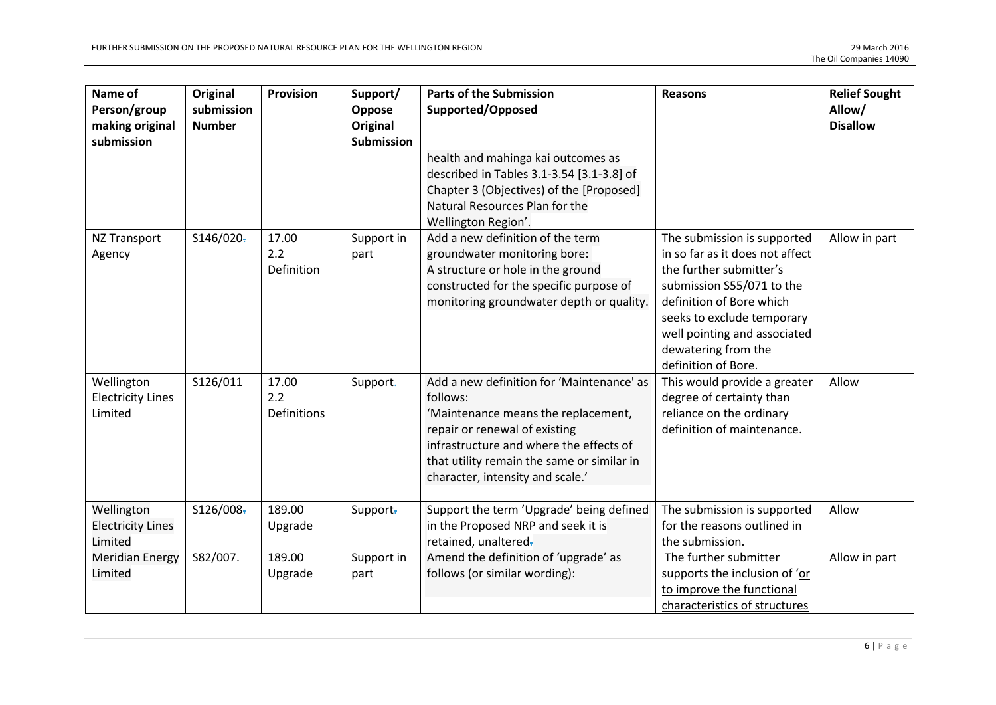| Name of<br>Person/group<br>making original<br>submission | Original<br>submission<br><b>Number</b> | Provision                          | Support/<br>Oppose<br>Original<br><b>Submission</b> | <b>Parts of the Submission</b><br>Supported/Opposed                                                                                                                                                                                                        | <b>Reasons</b>                                                                                                                                                                                                                                                 | <b>Relief Sought</b><br>Allow/<br><b>Disallow</b> |
|----------------------------------------------------------|-----------------------------------------|------------------------------------|-----------------------------------------------------|------------------------------------------------------------------------------------------------------------------------------------------------------------------------------------------------------------------------------------------------------------|----------------------------------------------------------------------------------------------------------------------------------------------------------------------------------------------------------------------------------------------------------------|---------------------------------------------------|
|                                                          |                                         |                                    |                                                     | health and mahinga kai outcomes as<br>described in Tables 3.1-3.54 [3.1-3.8] of<br>Chapter 3 (Objectives) of the [Proposed]<br>Natural Resources Plan for the<br>Wellington Region'.                                                                       |                                                                                                                                                                                                                                                                |                                                   |
| NZ Transport<br>Agency                                   | S146/020-                               | 17.00<br>2.2<br>Definition         | Support in<br>part                                  | Add a new definition of the term<br>groundwater monitoring bore:<br>A structure or hole in the ground<br>constructed for the specific purpose of<br>monitoring groundwater depth or quality.                                                               | The submission is supported<br>in so far as it does not affect<br>the further submitter's<br>submission S55/071 to the<br>definition of Bore which<br>seeks to exclude temporary<br>well pointing and associated<br>dewatering from the<br>definition of Bore. | Allow in part                                     |
| Wellington<br><b>Electricity Lines</b><br>Limited        | S126/011                                | 17.00<br>2.2<br><b>Definitions</b> | Support-                                            | Add a new definition for 'Maintenance' as<br>follows:<br>'Maintenance means the replacement,<br>repair or renewal of existing<br>infrastructure and where the effects of<br>that utility remain the same or similar in<br>character, intensity and scale.' | This would provide a greater<br>degree of certainty than<br>reliance on the ordinary<br>definition of maintenance.                                                                                                                                             | Allow                                             |
| Wellington<br><b>Electricity Lines</b><br>Limited        | \$126/008                               | 189.00<br>Upgrade                  | Support-                                            | Support the term 'Upgrade' being defined<br>in the Proposed NRP and seek it is<br>retained, unaltered-                                                                                                                                                     | The submission is supported<br>for the reasons outlined in<br>the submission.                                                                                                                                                                                  | Allow                                             |
| <b>Meridian Energy</b><br>Limited                        | S82/007.                                | 189.00<br>Upgrade                  | Support in<br>part                                  | Amend the definition of 'upgrade' as<br>follows (or similar wording):                                                                                                                                                                                      | The further submitter<br>supports the inclusion of 'or<br>to improve the functional<br>characteristics of structures                                                                                                                                           | Allow in part                                     |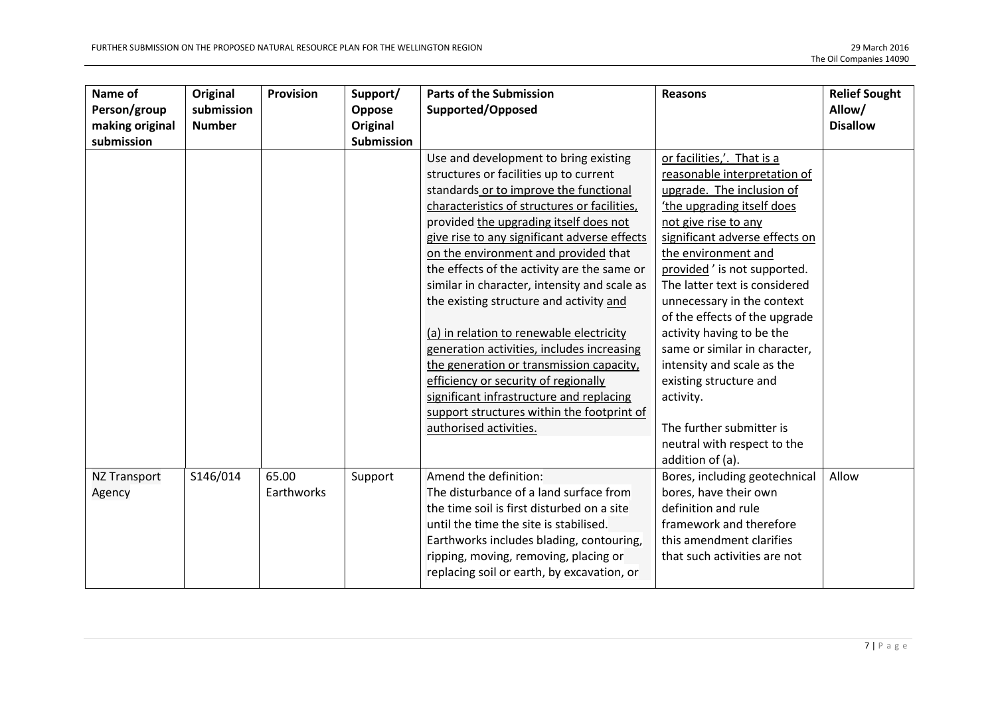| Name of             | Original      | <b>Provision</b> | Support/          | <b>Parts of the Submission</b>               | <b>Reasons</b>                 | <b>Relief Sought</b> |
|---------------------|---------------|------------------|-------------------|----------------------------------------------|--------------------------------|----------------------|
| Person/group        | submission    |                  | Oppose            | Supported/Opposed                            |                                | Allow/               |
| making original     | <b>Number</b> |                  | Original          |                                              |                                | <b>Disallow</b>      |
| submission          |               |                  | <b>Submission</b> |                                              |                                |                      |
|                     |               |                  |                   | Use and development to bring existing        | or facilities,'. That is a     |                      |
|                     |               |                  |                   | structures or facilities up to current       | reasonable interpretation of   |                      |
|                     |               |                  |                   | standards or to improve the functional       | upgrade. The inclusion of      |                      |
|                     |               |                  |                   | characteristics of structures or facilities, | the upgrading itself does      |                      |
|                     |               |                  |                   | provided the upgrading itself does not       | not give rise to any           |                      |
|                     |               |                  |                   | give rise to any significant adverse effects | significant adverse effects on |                      |
|                     |               |                  |                   | on the environment and provided that         | the environment and            |                      |
|                     |               |                  |                   | the effects of the activity are the same or  | provided' is not supported.    |                      |
|                     |               |                  |                   | similar in character, intensity and scale as | The latter text is considered  |                      |
|                     |               |                  |                   | the existing structure and activity and      | unnecessary in the context     |                      |
|                     |               |                  |                   |                                              | of the effects of the upgrade  |                      |
|                     |               |                  |                   | (a) in relation to renewable electricity     | activity having to be the      |                      |
|                     |               |                  |                   | generation activities, includes increasing   | same or similar in character,  |                      |
|                     |               |                  |                   | the generation or transmission capacity,     | intensity and scale as the     |                      |
|                     |               |                  |                   | efficiency or security of regionally         | existing structure and         |                      |
|                     |               |                  |                   | significant infrastructure and replacing     | activity.                      |                      |
|                     |               |                  |                   | support structures within the footprint of   |                                |                      |
|                     |               |                  |                   | authorised activities.                       | The further submitter is       |                      |
|                     |               |                  |                   |                                              | neutral with respect to the    |                      |
|                     |               |                  |                   |                                              | addition of (a).               |                      |
| <b>NZ Transport</b> | S146/014      | 65.00            | Support           | Amend the definition:                        | Bores, including geotechnical  | Allow                |
| Agency              |               | Earthworks       |                   | The disturbance of a land surface from       | bores, have their own          |                      |
|                     |               |                  |                   | the time soil is first disturbed on a site   | definition and rule            |                      |
|                     |               |                  |                   | until the time the site is stabilised.       | framework and therefore        |                      |
|                     |               |                  |                   | Earthworks includes blading, contouring,     | this amendment clarifies       |                      |
|                     |               |                  |                   | ripping, moving, removing, placing or        | that such activities are not   |                      |
|                     |               |                  |                   | replacing soil or earth, by excavation, or   |                                |                      |
|                     |               |                  |                   |                                              |                                |                      |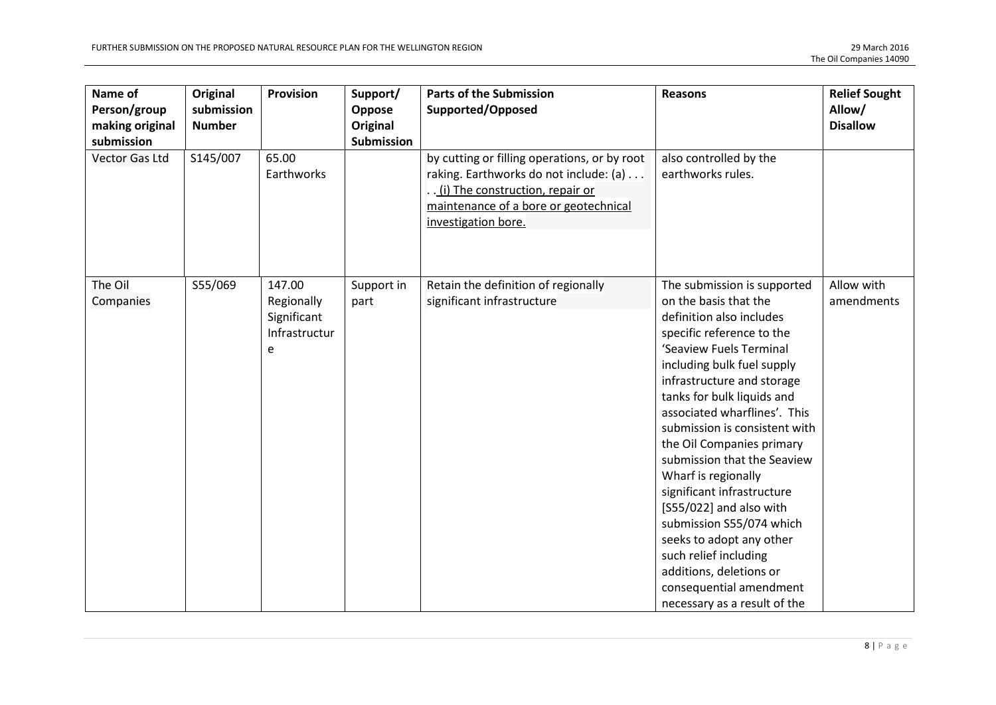| Name of<br>Person/group<br>making original<br>submission | Original<br>submission<br><b>Number</b> | <b>Provision</b>                                          | Support/<br>Oppose<br><b>Original</b><br><b>Submission</b> | <b>Parts of the Submission</b><br>Supported/Opposed                                                                                                                                       | <b>Reasons</b>                                                                                                                                                                                                                                                                                                                                                                                                                                                                                                                                                                                                         | <b>Relief Sought</b><br>Allow/<br><b>Disallow</b> |
|----------------------------------------------------------|-----------------------------------------|-----------------------------------------------------------|------------------------------------------------------------|-------------------------------------------------------------------------------------------------------------------------------------------------------------------------------------------|------------------------------------------------------------------------------------------------------------------------------------------------------------------------------------------------------------------------------------------------------------------------------------------------------------------------------------------------------------------------------------------------------------------------------------------------------------------------------------------------------------------------------------------------------------------------------------------------------------------------|---------------------------------------------------|
| <b>Vector Gas Ltd</b>                                    | S145/007                                | 65.00<br>Earthworks                                       |                                                            | by cutting or filling operations, or by root<br>raking. Earthworks do not include: (a)<br>(i) The construction, repair or<br>maintenance of a bore or geotechnical<br>investigation bore. | also controlled by the<br>earthworks rules.                                                                                                                                                                                                                                                                                                                                                                                                                                                                                                                                                                            |                                                   |
| The Oil<br>Companies                                     | S55/069                                 | 147.00<br>Regionally<br>Significant<br>Infrastructur<br>e | Support in<br>part                                         | Retain the definition of regionally<br>significant infrastructure                                                                                                                         | The submission is supported<br>on the basis that the<br>definition also includes<br>specific reference to the<br>'Seaview Fuels Terminal<br>including bulk fuel supply<br>infrastructure and storage<br>tanks for bulk liquids and<br>associated wharflines'. This<br>submission is consistent with<br>the Oil Companies primary<br>submission that the Seaview<br>Wharf is regionally<br>significant infrastructure<br>[S55/022] and also with<br>submission S55/074 which<br>seeks to adopt any other<br>such relief including<br>additions, deletions or<br>consequential amendment<br>necessary as a result of the | Allow with<br>amendments                          |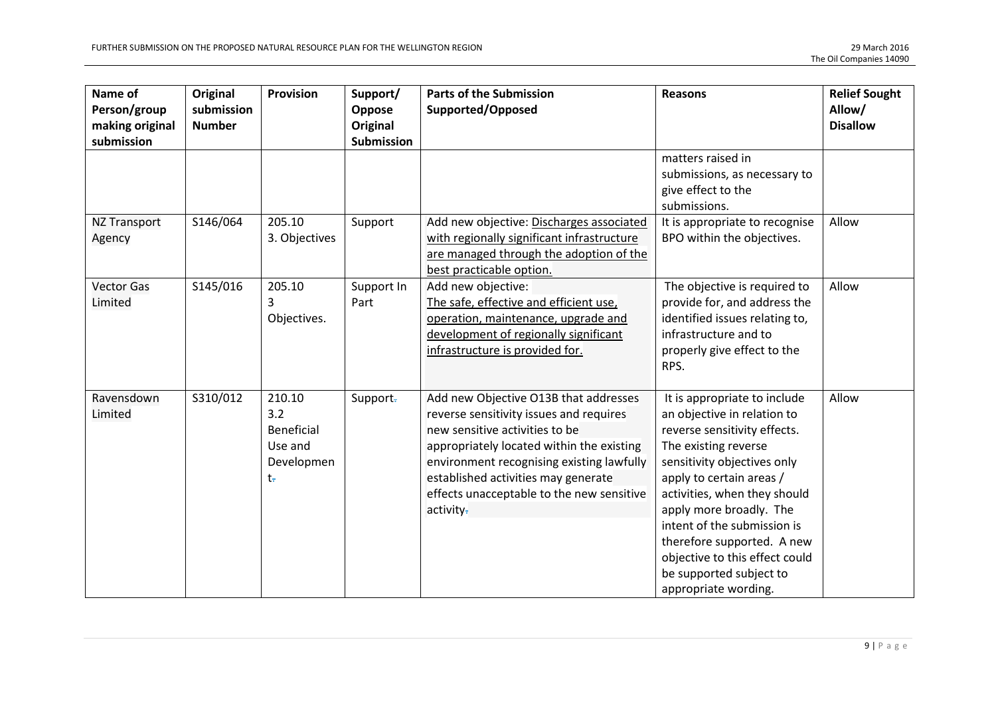| Name of<br>Person/group<br>making original<br>submission | Original<br>submission<br><b>Number</b> | <b>Provision</b>                                                  | Support/<br>Oppose<br>Original<br>Submission | <b>Parts of the Submission</b><br>Supported/Opposed                                                                                                                                                                                                                                                           | <b>Reasons</b>                                                                                                                                                                                                                                                                                                                                                                              | <b>Relief Sought</b><br>Allow/<br><b>Disallow</b> |
|----------------------------------------------------------|-----------------------------------------|-------------------------------------------------------------------|----------------------------------------------|---------------------------------------------------------------------------------------------------------------------------------------------------------------------------------------------------------------------------------------------------------------------------------------------------------------|---------------------------------------------------------------------------------------------------------------------------------------------------------------------------------------------------------------------------------------------------------------------------------------------------------------------------------------------------------------------------------------------|---------------------------------------------------|
|                                                          |                                         |                                                                   |                                              |                                                                                                                                                                                                                                                                                                               | matters raised in<br>submissions, as necessary to<br>give effect to the<br>submissions.                                                                                                                                                                                                                                                                                                     |                                                   |
| <b>NZ Transport</b><br>Agency                            | S146/064                                | 205.10<br>3. Objectives                                           | Support                                      | Add new objective: Discharges associated<br>with regionally significant infrastructure<br>are managed through the adoption of the<br>best practicable option.                                                                                                                                                 | It is appropriate to recognise<br>BPO within the objectives.                                                                                                                                                                                                                                                                                                                                | Allow                                             |
| <b>Vector Gas</b><br>Limited                             | S145/016                                | 205.10<br>3<br>Objectives.                                        | Support In<br>Part                           | Add new objective:<br>The safe, effective and efficient use,<br>operation, maintenance, upgrade and<br>development of regionally significant<br>infrastructure is provided for.                                                                                                                               | The objective is required to<br>provide for, and address the<br>identified issues relating to,<br>infrastructure and to<br>properly give effect to the<br>RPS.                                                                                                                                                                                                                              | Allow                                             |
| Ravensdown<br>Limited                                    | S310/012                                | 210.10<br>3.2<br><b>Beneficial</b><br>Use and<br>Developmen<br>t÷ | Support-                                     | Add new Objective O13B that addresses<br>reverse sensitivity issues and requires<br>new sensitive activities to be<br>appropriately located within the existing<br>environment recognising existing lawfully<br>established activities may generate<br>effects unacceptable to the new sensitive<br>activity- | It is appropriate to include<br>an objective in relation to<br>reverse sensitivity effects.<br>The existing reverse<br>sensitivity objectives only<br>apply to certain areas /<br>activities, when they should<br>apply more broadly. The<br>intent of the submission is<br>therefore supported. A new<br>objective to this effect could<br>be supported subject to<br>appropriate wording. | Allow                                             |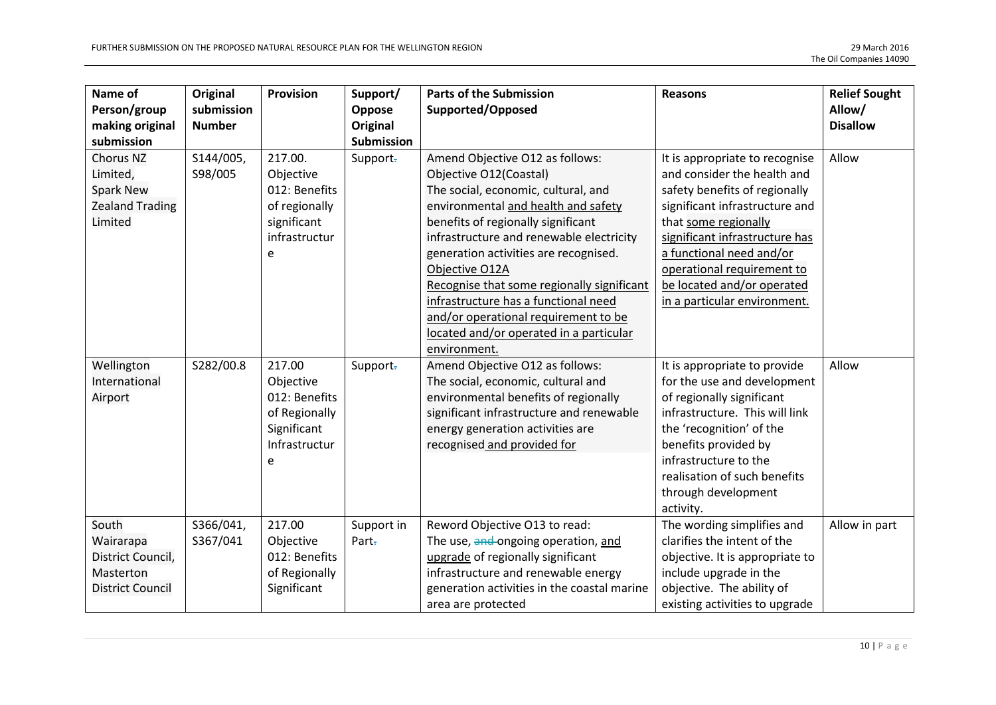| Name of<br>Person/group<br>making original                                      | Original<br>submission<br><b>Number</b> | Provision                                                                                   | Support/<br>Oppose<br>Original | <b>Parts of the Submission</b><br>Supported/Opposed                                                                                                                                                                                                                                                                                                                                                                                                                           | <b>Reasons</b>                                                                                                                                                                                                                                                                                                     | <b>Relief Sought</b><br>Allow/<br><b>Disallow</b> |
|---------------------------------------------------------------------------------|-----------------------------------------|---------------------------------------------------------------------------------------------|--------------------------------|-------------------------------------------------------------------------------------------------------------------------------------------------------------------------------------------------------------------------------------------------------------------------------------------------------------------------------------------------------------------------------------------------------------------------------------------------------------------------------|--------------------------------------------------------------------------------------------------------------------------------------------------------------------------------------------------------------------------------------------------------------------------------------------------------------------|---------------------------------------------------|
| submission                                                                      |                                         |                                                                                             | <b>Submission</b>              |                                                                                                                                                                                                                                                                                                                                                                                                                                                                               |                                                                                                                                                                                                                                                                                                                    |                                                   |
| Chorus NZ<br>Limited,<br><b>Spark New</b><br><b>Zealand Trading</b><br>Limited  | S144/005,<br>S98/005                    | 217.00.<br>Objective<br>012: Benefits<br>of regionally<br>significant<br>infrastructur<br>e | Support-                       | Amend Objective O12 as follows:<br>Objective O12(Coastal)<br>The social, economic, cultural, and<br>environmental and health and safety<br>benefits of regionally significant<br>infrastructure and renewable electricity<br>generation activities are recognised.<br>Objective O12A<br>Recognise that some regionally significant<br>infrastructure has a functional need<br>and/or operational requirement to be<br>located and/or operated in a particular<br>environment. | It is appropriate to recognise<br>and consider the health and<br>safety benefits of regionally<br>significant infrastructure and<br>that some regionally<br>significant infrastructure has<br>a functional need and/or<br>operational requirement to<br>be located and/or operated<br>in a particular environment. | Allow                                             |
| Wellington<br>International<br>Airport                                          | S282/00.8                               | 217.00<br>Objective<br>012: Benefits<br>of Regionally<br>Significant<br>Infrastructur<br>e  | Support-                       | Amend Objective O12 as follows:<br>The social, economic, cultural and<br>environmental benefits of regionally<br>significant infrastructure and renewable<br>energy generation activities are<br>recognised and provided for                                                                                                                                                                                                                                                  | It is appropriate to provide<br>for the use and development<br>of regionally significant<br>infrastructure. This will link<br>the 'recognition' of the<br>benefits provided by<br>infrastructure to the<br>realisation of such benefits<br>through development<br>activity.                                        | Allow                                             |
| South<br>Wairarapa<br>District Council,<br>Masterton<br><b>District Council</b> | S366/041,<br>S367/041                   | 217.00<br>Objective<br>012: Benefits<br>of Regionally<br>Significant                        | Support in<br>Part-            | Reword Objective O13 to read:<br>The use, and ongoing operation, and<br>upgrade of regionally significant<br>infrastructure and renewable energy<br>generation activities in the coastal marine<br>area are protected                                                                                                                                                                                                                                                         | The wording simplifies and<br>clarifies the intent of the<br>objective. It is appropriate to<br>include upgrade in the<br>objective. The ability of<br>existing activities to upgrade                                                                                                                              | Allow in part                                     |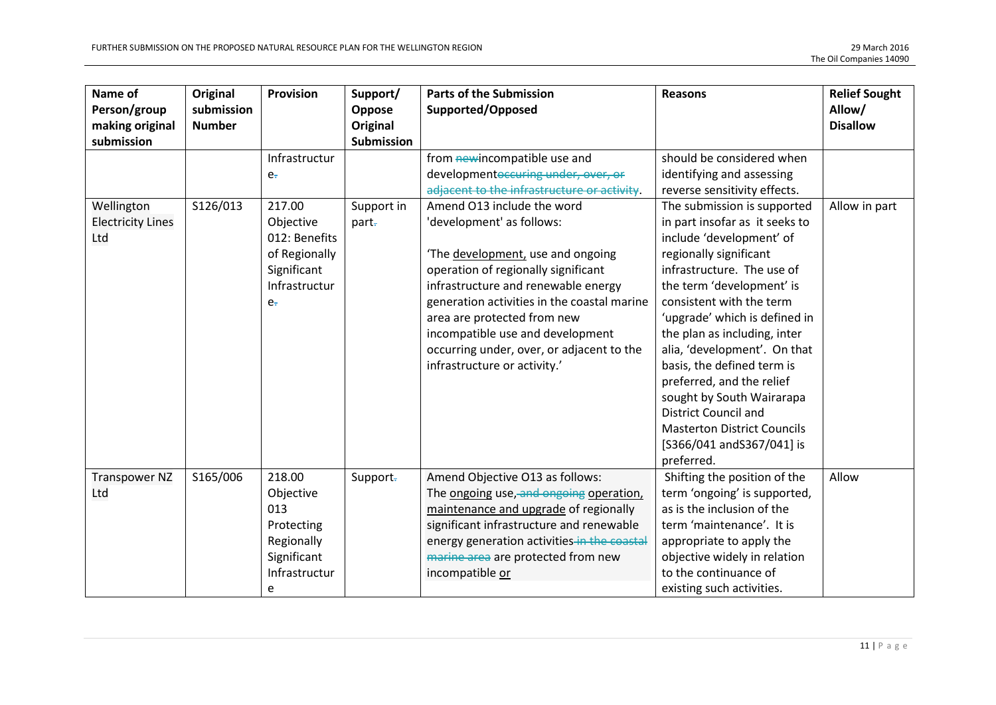| Name of<br>Person/group<br>making original<br>submission | Original<br>submission<br><b>Number</b> | Provision                                                                                               | Support/<br>Oppose<br>Original<br><b>Submission</b> | <b>Parts of the Submission</b><br>Supported/Opposed                                                                                                                                                                                                                                                                                                                      | <b>Reasons</b>                                                                                                                                                                                                                                                                                                                                                                                                                                                                                                       | <b>Relief Sought</b><br>Allow/<br><b>Disallow</b> |
|----------------------------------------------------------|-----------------------------------------|---------------------------------------------------------------------------------------------------------|-----------------------------------------------------|--------------------------------------------------------------------------------------------------------------------------------------------------------------------------------------------------------------------------------------------------------------------------------------------------------------------------------------------------------------------------|----------------------------------------------------------------------------------------------------------------------------------------------------------------------------------------------------------------------------------------------------------------------------------------------------------------------------------------------------------------------------------------------------------------------------------------------------------------------------------------------------------------------|---------------------------------------------------|
|                                                          |                                         | Infrastructur<br>e <sub>r</sub>                                                                         |                                                     | from newincompatible use and<br>developmentoccuring under, over, or<br>adjacent to the infrastructure or activity.                                                                                                                                                                                                                                                       | should be considered when<br>identifying and assessing<br>reverse sensitivity effects.                                                                                                                                                                                                                                                                                                                                                                                                                               |                                                   |
| Wellington<br><b>Electricity Lines</b><br>Ltd            | S126/013                                | 217.00<br>Objective<br>012: Benefits<br>of Regionally<br>Significant<br>Infrastructur<br>e <sub>r</sub> | Support in<br>part-                                 | Amend O13 include the word<br>'development' as follows:<br>The development, use and ongoing<br>operation of regionally significant<br>infrastructure and renewable energy<br>generation activities in the coastal marine<br>area are protected from new<br>incompatible use and development<br>occurring under, over, or adjacent to the<br>infrastructure or activity.' | The submission is supported<br>in part insofar as it seeks to<br>include 'development' of<br>regionally significant<br>infrastructure. The use of<br>the term 'development' is<br>consistent with the term<br>'upgrade' which is defined in<br>the plan as including, inter<br>alia, 'development'. On that<br>basis, the defined term is<br>preferred, and the relief<br>sought by South Wairarapa<br><b>District Council and</b><br><b>Masterton District Councils</b><br>[S366/041 and S367/041] is<br>preferred. | Allow in part                                     |
| <b>Transpower NZ</b><br>Ltd                              | S165/006                                | 218.00<br>Objective<br>013<br>Protecting<br>Regionally<br>Significant<br>Infrastructur<br>е             | Support-                                            | Amend Objective O13 as follows:<br>The ongoing use, and ongoing operation,<br>maintenance and upgrade of regionally<br>significant infrastructure and renewable<br>energy generation activities in the coastal<br>marine area are protected from new<br>incompatible or                                                                                                  | Shifting the position of the<br>term 'ongoing' is supported,<br>as is the inclusion of the<br>term 'maintenance'. It is<br>appropriate to apply the<br>objective widely in relation<br>to the continuance of<br>existing such activities.                                                                                                                                                                                                                                                                            | Allow                                             |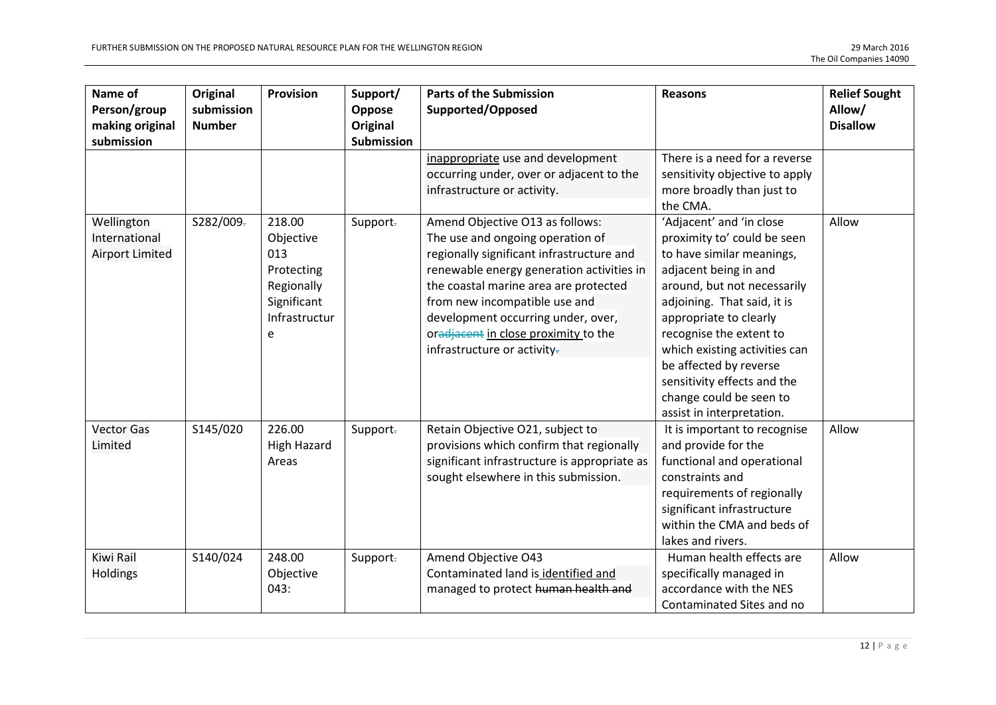| Name of<br>Person/group<br>making original     | Original<br>submission<br><b>Number</b> | Provision                                                                                   | Support/<br>Oppose<br>Original | <b>Parts of the Submission</b><br>Supported/Opposed                                                                                                                                                                                                                                                                                                  | <b>Reasons</b>                                                                                                                                                                                                                                                                                                                                                                     | <b>Relief Sought</b><br>Allow/<br><b>Disallow</b> |
|------------------------------------------------|-----------------------------------------|---------------------------------------------------------------------------------------------|--------------------------------|------------------------------------------------------------------------------------------------------------------------------------------------------------------------------------------------------------------------------------------------------------------------------------------------------------------------------------------------------|------------------------------------------------------------------------------------------------------------------------------------------------------------------------------------------------------------------------------------------------------------------------------------------------------------------------------------------------------------------------------------|---------------------------------------------------|
| submission                                     |                                         |                                                                                             | <b>Submission</b>              | inappropriate use and development<br>occurring under, over or adjacent to the<br>infrastructure or activity.                                                                                                                                                                                                                                         | There is a need for a reverse<br>sensitivity objective to apply<br>more broadly than just to<br>the CMA.                                                                                                                                                                                                                                                                           |                                                   |
| Wellington<br>International<br>Airport Limited | S282/009-                               | 218.00<br>Objective<br>013<br>Protecting<br>Regionally<br>Significant<br>Infrastructur<br>e | Support-                       | Amend Objective O13 as follows:<br>The use and ongoing operation of<br>regionally significant infrastructure and<br>renewable energy generation activities in<br>the coastal marine area are protected<br>from new incompatible use and<br>development occurring under, over,<br>oradjacent in close proximity to the<br>infrastructure or activity- | 'Adjacent' and 'in close<br>proximity to' could be seen<br>to have similar meanings,<br>adjacent being in and<br>around, but not necessarily<br>adjoining. That said, it is<br>appropriate to clearly<br>recognise the extent to<br>which existing activities can<br>be affected by reverse<br>sensitivity effects and the<br>change could be seen to<br>assist in interpretation. | Allow                                             |
| <b>Vector Gas</b><br>Limited                   | S145/020                                | 226.00<br><b>High Hazard</b><br>Areas                                                       | Support-                       | Retain Objective O21, subject to<br>provisions which confirm that regionally<br>significant infrastructure is appropriate as<br>sought elsewhere in this submission.                                                                                                                                                                                 | It is important to recognise<br>and provide for the<br>functional and operational<br>constraints and<br>requirements of regionally<br>significant infrastructure<br>within the CMA and beds of<br>lakes and rivers.                                                                                                                                                                | Allow                                             |
| Kiwi Rail<br>Holdings                          | S140/024                                | 248.00<br>Objective<br>043:                                                                 | Support-                       | Amend Objective O43<br>Contaminated land is identified and<br>managed to protect human health and                                                                                                                                                                                                                                                    | Human health effects are<br>specifically managed in<br>accordance with the NES<br>Contaminated Sites and no                                                                                                                                                                                                                                                                        | Allow                                             |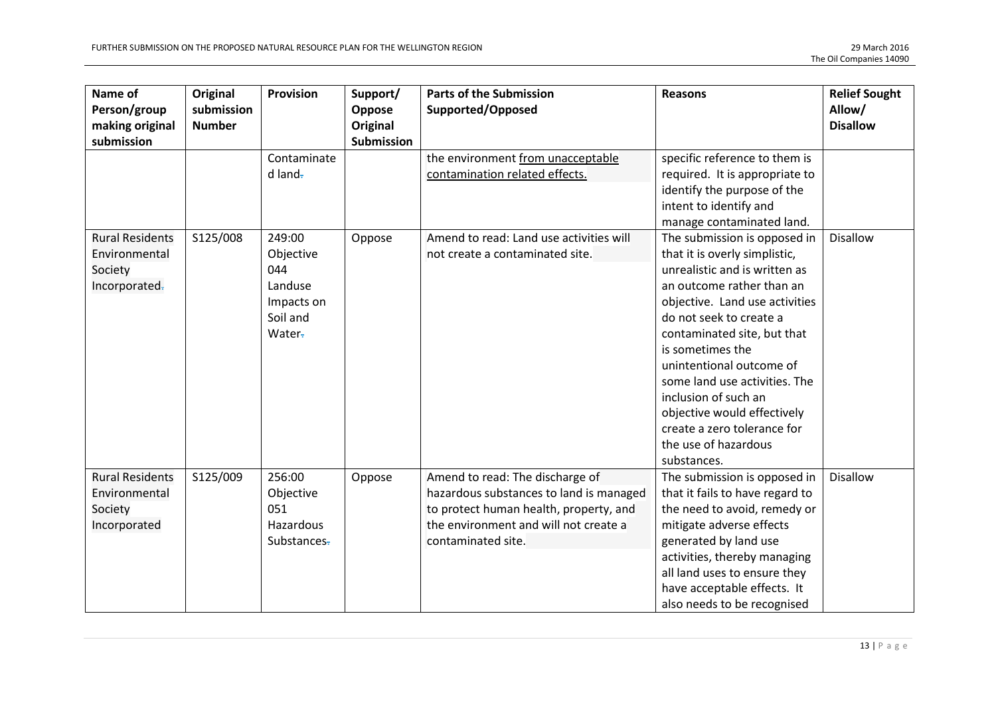| Name of<br>Person/group<br>making original<br>submission            | Original<br>submission<br><b>Number</b> | <b>Provision</b>                                                          | Support/<br>Oppose<br>Original<br><b>Submission</b> | <b>Parts of the Submission</b><br>Supported/Opposed                                                                                                                                 | <b>Reasons</b>                                                                                                                                                                                                                                                                                                                                                                                                                        | <b>Relief Sought</b><br>Allow/<br><b>Disallow</b> |
|---------------------------------------------------------------------|-----------------------------------------|---------------------------------------------------------------------------|-----------------------------------------------------|-------------------------------------------------------------------------------------------------------------------------------------------------------------------------------------|---------------------------------------------------------------------------------------------------------------------------------------------------------------------------------------------------------------------------------------------------------------------------------------------------------------------------------------------------------------------------------------------------------------------------------------|---------------------------------------------------|
|                                                                     |                                         | Contaminate<br>$d$ land-                                                  |                                                     | the environment from unacceptable<br>contamination related effects.                                                                                                                 | specific reference to them is<br>required. It is appropriate to<br>identify the purpose of the<br>intent to identify and<br>manage contaminated land.                                                                                                                                                                                                                                                                                 |                                                   |
| <b>Rural Residents</b><br>Environmental<br>Society<br>Incorporated- | S125/008                                | 249:00<br>Objective<br>044<br>Landuse<br>Impacts on<br>Soil and<br>Water- | Oppose                                              | Amend to read: Land use activities will<br>not create a contaminated site.                                                                                                          | The submission is opposed in<br>that it is overly simplistic,<br>unrealistic and is written as<br>an outcome rather than an<br>objective. Land use activities<br>do not seek to create a<br>contaminated site, but that<br>is sometimes the<br>unintentional outcome of<br>some land use activities. The<br>inclusion of such an<br>objective would effectively<br>create a zero tolerance for<br>the use of hazardous<br>substances. | <b>Disallow</b>                                   |
| <b>Rural Residents</b><br>Environmental<br>Society<br>Incorporated  | S125/009                                | 256:00<br>Objective<br>051<br>Hazardous<br>Substances-                    | Oppose                                              | Amend to read: The discharge of<br>hazardous substances to land is managed<br>to protect human health, property, and<br>the environment and will not create a<br>contaminated site. | The submission is opposed in<br>that it fails to have regard to<br>the need to avoid, remedy or<br>mitigate adverse effects<br>generated by land use<br>activities, thereby managing<br>all land uses to ensure they<br>have acceptable effects. It<br>also needs to be recognised                                                                                                                                                    | <b>Disallow</b>                                   |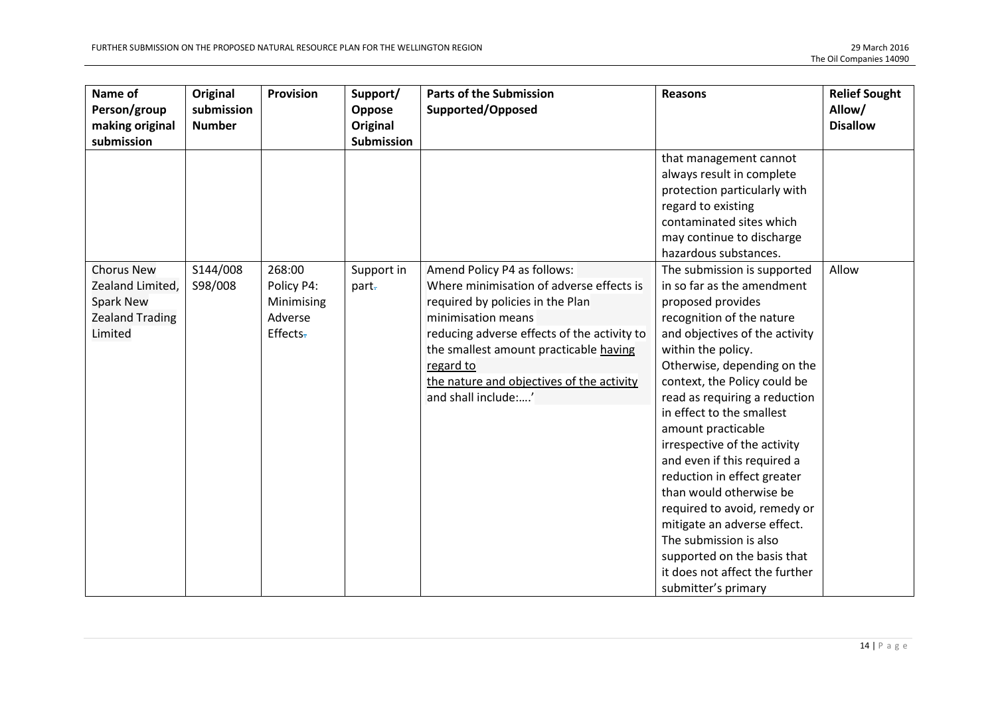| Name of<br>Person/group<br>making original                                                     | Original<br>submission<br><b>Number</b> | Provision                                                 | Support/<br>Oppose<br>Original | <b>Parts of the Submission</b><br>Supported/Opposed                                                                                                                                                                                                                                                         | <b>Reasons</b>                                                                                                                                                                                                                                                                                                                                                                                                                                                                                                                                                                                                                   | <b>Relief Sought</b><br>Allow/<br><b>Disallow</b> |
|------------------------------------------------------------------------------------------------|-----------------------------------------|-----------------------------------------------------------|--------------------------------|-------------------------------------------------------------------------------------------------------------------------------------------------------------------------------------------------------------------------------------------------------------------------------------------------------------|----------------------------------------------------------------------------------------------------------------------------------------------------------------------------------------------------------------------------------------------------------------------------------------------------------------------------------------------------------------------------------------------------------------------------------------------------------------------------------------------------------------------------------------------------------------------------------------------------------------------------------|---------------------------------------------------|
| submission                                                                                     |                                         |                                                           | <b>Submission</b>              |                                                                                                                                                                                                                                                                                                             | that management cannot<br>always result in complete<br>protection particularly with<br>regard to existing<br>contaminated sites which<br>may continue to discharge<br>hazardous substances.                                                                                                                                                                                                                                                                                                                                                                                                                                      |                                                   |
| <b>Chorus New</b><br>Zealand Limited,<br><b>Spark New</b><br><b>Zealand Trading</b><br>Limited | S144/008<br>S98/008                     | 268:00<br>Policy P4:<br>Minimising<br>Adverse<br>Effects- | Support in<br>part-            | Amend Policy P4 as follows:<br>Where minimisation of adverse effects is<br>required by policies in the Plan<br>minimisation means<br>reducing adverse effects of the activity to<br>the smallest amount practicable having<br>regard to<br>the nature and objectives of the activity<br>and shall include:' | The submission is supported<br>in so far as the amendment<br>proposed provides<br>recognition of the nature<br>and objectives of the activity<br>within the policy.<br>Otherwise, depending on the<br>context, the Policy could be<br>read as requiring a reduction<br>in effect to the smallest<br>amount practicable<br>irrespective of the activity<br>and even if this required a<br>reduction in effect greater<br>than would otherwise be<br>required to avoid, remedy or<br>mitigate an adverse effect.<br>The submission is also<br>supported on the basis that<br>it does not affect the further<br>submitter's primary | Allow                                             |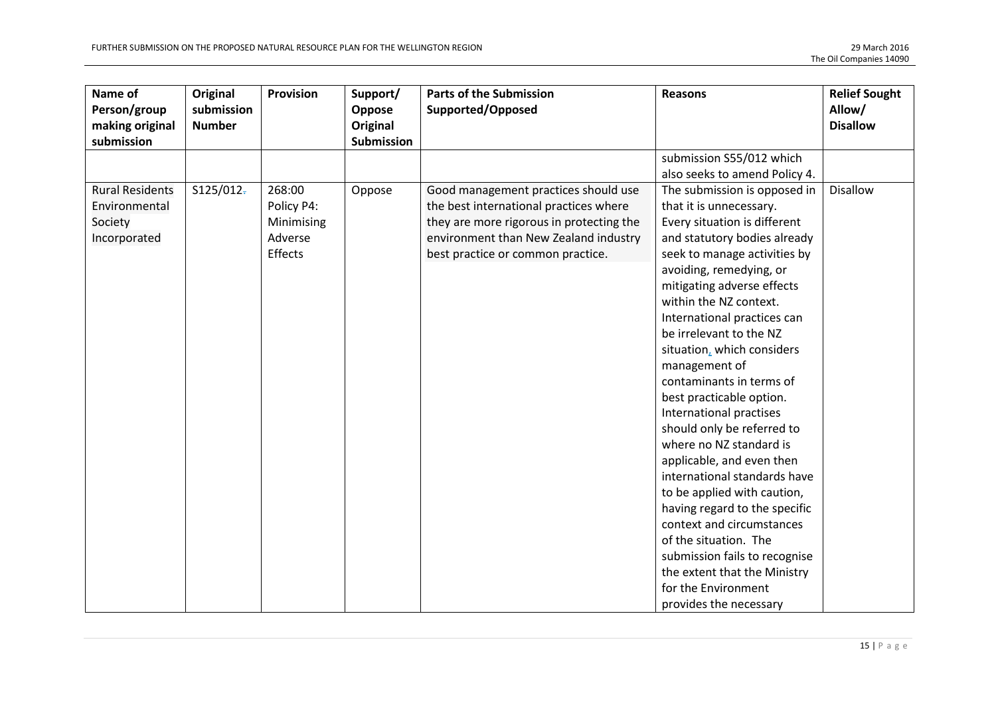| Name of<br>Person/group<br>making original<br>submission           | Original<br>submission<br><b>Number</b> | <b>Provision</b>                                         | Support/<br>Oppose<br>Original<br>Submission | <b>Parts of the Submission</b><br>Supported/Opposed                                                                                                                                                      | <b>Reasons</b>                                                                                                                                                                                                                                                                                                                                                                                                                                                                                                                                                                                                                                                                                                                                                                                       | <b>Relief Sought</b><br>Allow/<br><b>Disallow</b> |
|--------------------------------------------------------------------|-----------------------------------------|----------------------------------------------------------|----------------------------------------------|----------------------------------------------------------------------------------------------------------------------------------------------------------------------------------------------------------|------------------------------------------------------------------------------------------------------------------------------------------------------------------------------------------------------------------------------------------------------------------------------------------------------------------------------------------------------------------------------------------------------------------------------------------------------------------------------------------------------------------------------------------------------------------------------------------------------------------------------------------------------------------------------------------------------------------------------------------------------------------------------------------------------|---------------------------------------------------|
|                                                                    |                                         |                                                          |                                              |                                                                                                                                                                                                          | submission S55/012 which<br>also seeks to amend Policy 4.                                                                                                                                                                                                                                                                                                                                                                                                                                                                                                                                                                                                                                                                                                                                            |                                                   |
| <b>Rural Residents</b><br>Environmental<br>Society<br>Incorporated | S125/012                                | 268:00<br>Policy P4:<br>Minimising<br>Adverse<br>Effects | Oppose                                       | Good management practices should use<br>the best international practices where<br>they are more rigorous in protecting the<br>environment than New Zealand industry<br>best practice or common practice. | The submission is opposed in<br>that it is unnecessary.<br>Every situation is different<br>and statutory bodies already<br>seek to manage activities by<br>avoiding, remedying, or<br>mitigating adverse effects<br>within the NZ context.<br>International practices can<br>be irrelevant to the NZ<br>situation, which considers<br>management of<br>contaminants in terms of<br>best practicable option.<br>International practises<br>should only be referred to<br>where no NZ standard is<br>applicable, and even then<br>international standards have<br>to be applied with caution,<br>having regard to the specific<br>context and circumstances<br>of the situation. The<br>submission fails to recognise<br>the extent that the Ministry<br>for the Environment<br>provides the necessary | <b>Disallow</b>                                   |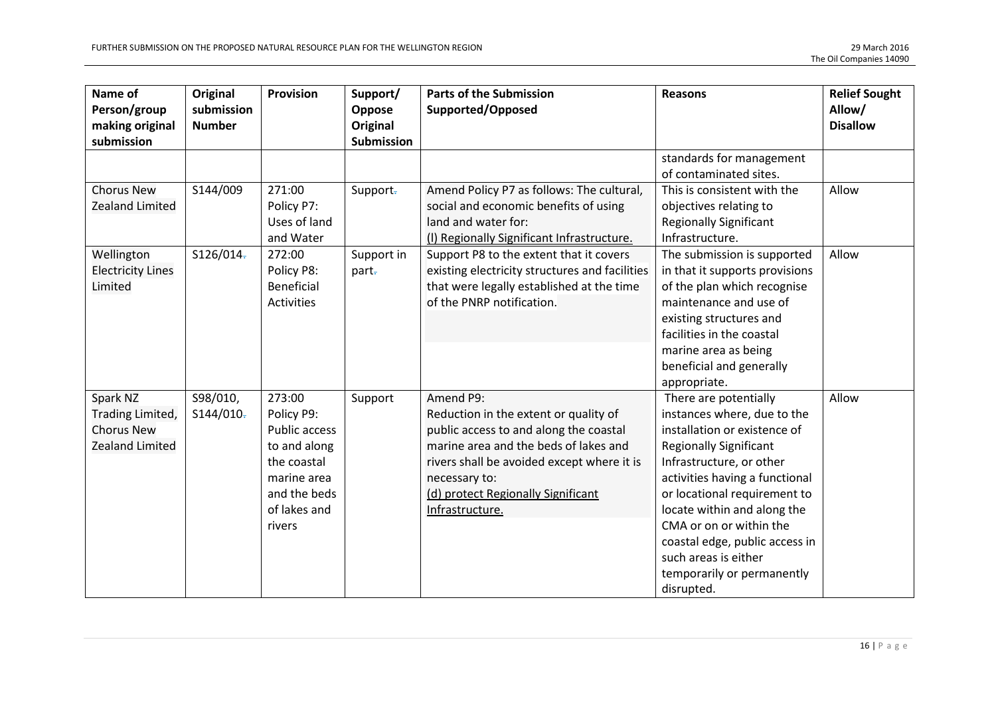| Name of<br>Person/group<br>making original<br>submission             | Original<br>submission<br><b>Number</b> | <b>Provision</b>                                                                                                                     | Support/<br>Oppose<br>Original<br>Submission | <b>Parts of the Submission</b><br>Supported/Opposed                                                                                                                                                                                                           | <b>Reasons</b>                                                                                                                                                                                                                                                                                                                                                                      | <b>Relief Sought</b><br>Allow/<br><b>Disallow</b> |
|----------------------------------------------------------------------|-----------------------------------------|--------------------------------------------------------------------------------------------------------------------------------------|----------------------------------------------|---------------------------------------------------------------------------------------------------------------------------------------------------------------------------------------------------------------------------------------------------------------|-------------------------------------------------------------------------------------------------------------------------------------------------------------------------------------------------------------------------------------------------------------------------------------------------------------------------------------------------------------------------------------|---------------------------------------------------|
|                                                                      |                                         |                                                                                                                                      |                                              |                                                                                                                                                                                                                                                               | standards for management<br>of contaminated sites.                                                                                                                                                                                                                                                                                                                                  |                                                   |
| <b>Chorus New</b><br>Zealand Limited                                 | S144/009                                | 271:00<br>Policy P7:<br>Uses of land<br>and Water                                                                                    | Support-                                     | Amend Policy P7 as follows: The cultural,<br>social and economic benefits of using<br>land and water for:<br>(I) Regionally Significant Infrastructure.                                                                                                       | This is consistent with the<br>objectives relating to<br><b>Regionally Significant</b><br>Infrastructure.                                                                                                                                                                                                                                                                           | Allow                                             |
| Wellington<br><b>Electricity Lines</b><br>Limited                    | S126/014-                               | 272:00<br>Policy P8:<br>Beneficial<br><b>Activities</b>                                                                              | Support in<br>part-                          | Support P8 to the extent that it covers<br>existing electricity structures and facilities<br>that were legally established at the time<br>of the PNRP notification.                                                                                           | The submission is supported<br>in that it supports provisions<br>of the plan which recognise<br>maintenance and use of<br>existing structures and<br>facilities in the coastal<br>marine area as being<br>beneficial and generally<br>appropriate.                                                                                                                                  | Allow                                             |
| Spark NZ<br>Trading Limited,<br><b>Chorus New</b><br>Zealand Limited | S98/010,<br>S144/010                    | 273:00<br>Policy P9:<br><b>Public access</b><br>to and along<br>the coastal<br>marine area<br>and the beds<br>of lakes and<br>rivers | Support                                      | Amend P9:<br>Reduction in the extent or quality of<br>public access to and along the coastal<br>marine area and the beds of lakes and<br>rivers shall be avoided except where it is<br>necessary to:<br>(d) protect Regionally Significant<br>Infrastructure. | There are potentially<br>instances where, due to the<br>installation or existence of<br><b>Regionally Significant</b><br>Infrastructure, or other<br>activities having a functional<br>or locational requirement to<br>locate within and along the<br>CMA or on or within the<br>coastal edge, public access in<br>such areas is either<br>temporarily or permanently<br>disrupted. | Allow                                             |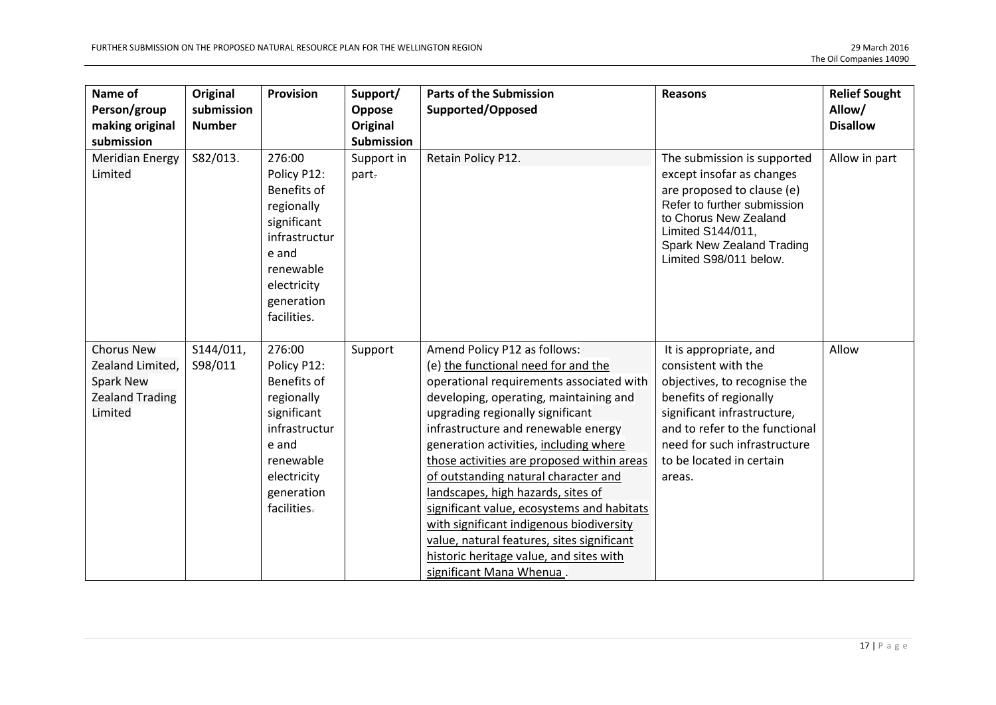| Name of<br>Person/group<br>making original<br>submission                                       | Original<br>submission<br><b>Number</b> | Provision                                                                                                                                            | Support/<br>Oppose<br>Original<br><b>Submission</b> | <b>Parts of the Submission</b><br>Supported/Opposed                                                                                                                                                                                                                                                                                                                                                                                                                                                                                                                                                                       | <b>Reasons</b>                                                                                                                                                                                                                                 | <b>Relief Sought</b><br>Allow/<br><b>Disallow</b> |
|------------------------------------------------------------------------------------------------|-----------------------------------------|------------------------------------------------------------------------------------------------------------------------------------------------------|-----------------------------------------------------|---------------------------------------------------------------------------------------------------------------------------------------------------------------------------------------------------------------------------------------------------------------------------------------------------------------------------------------------------------------------------------------------------------------------------------------------------------------------------------------------------------------------------------------------------------------------------------------------------------------------------|------------------------------------------------------------------------------------------------------------------------------------------------------------------------------------------------------------------------------------------------|---------------------------------------------------|
| <b>Meridian Energy</b><br>Limited                                                              | S82/013.                                | 276:00<br>Policy P12:<br>Benefits of<br>regionally<br>significant<br>infrastructur<br>e and<br>renewable<br>electricity<br>generation<br>facilities. | Support in<br>part-                                 | Retain Policy P12.                                                                                                                                                                                                                                                                                                                                                                                                                                                                                                                                                                                                        | The submission is supported<br>except insofar as changes<br>are proposed to clause (e)<br>Refer to further submission<br>to Chorus New Zealand<br>Limited S144/011,<br>Spark New Zealand Trading<br>Limited S98/011 below.                     | Allow in part                                     |
| <b>Chorus New</b><br>Zealand Limited,<br><b>Spark New</b><br><b>Zealand Trading</b><br>Limited | S144/011,<br>S98/011                    | 276:00<br>Policy P12:<br>Benefits of<br>regionally<br>significant<br>infrastructur<br>e and<br>renewable<br>electricity<br>generation<br>facilities- | Support                                             | Amend Policy P12 as follows:<br>(e) the functional need for and the<br>operational requirements associated with<br>developing, operating, maintaining and<br>upgrading regionally significant<br>infrastructure and renewable energy<br>generation activities, including where<br>those activities are proposed within areas<br>of outstanding natural character and<br>landscapes, high hazards, sites of<br>significant value, ecosystems and habitats<br>with significant indigenous biodiversity<br>value, natural features, sites significant<br>historic heritage value, and sites with<br>significant Mana Whenua. | It is appropriate, and<br>consistent with the<br>objectives, to recognise the<br>benefits of regionally<br>significant infrastructure,<br>and to refer to the functional<br>need for such infrastructure<br>to be located in certain<br>areas. | Allow                                             |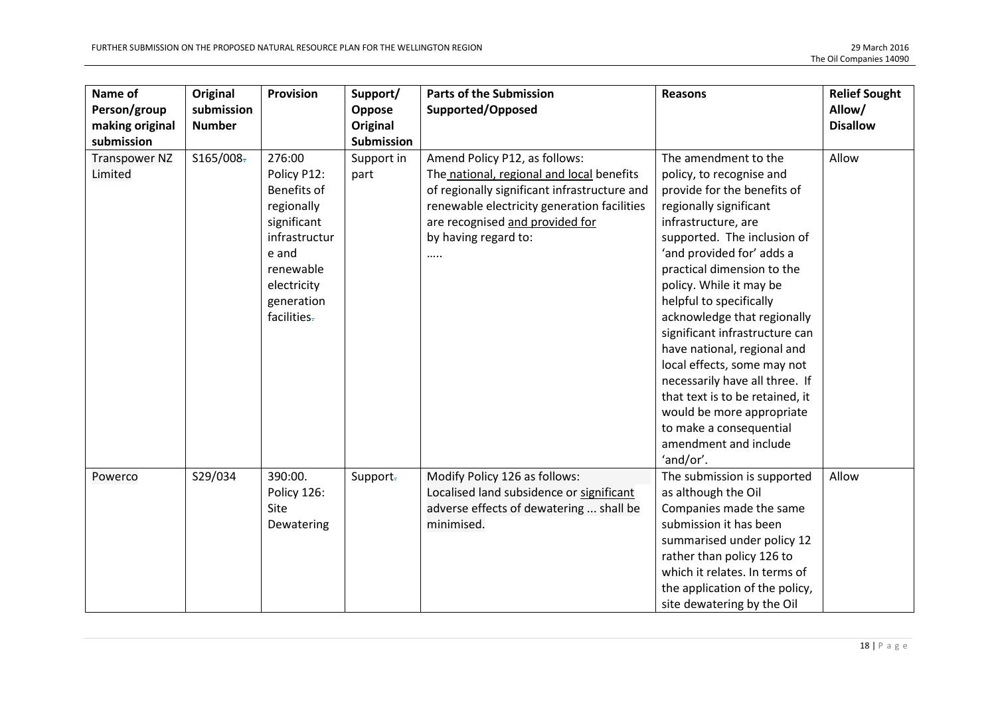| Name of<br>Person/group<br>making original<br>submission | Original<br>submission<br><b>Number</b> | Provision                                                                                                                                            | Support/<br>Oppose<br>Original<br>Submission | <b>Parts of the Submission</b><br>Supported/Opposed                                                                                                                                                                                      | <b>Reasons</b>                                                                                                                                                                                                                                                                                                                                                                                                                                                                                                                                                                     | <b>Relief Sought</b><br>Allow/<br><b>Disallow</b> |
|----------------------------------------------------------|-----------------------------------------|------------------------------------------------------------------------------------------------------------------------------------------------------|----------------------------------------------|------------------------------------------------------------------------------------------------------------------------------------------------------------------------------------------------------------------------------------------|------------------------------------------------------------------------------------------------------------------------------------------------------------------------------------------------------------------------------------------------------------------------------------------------------------------------------------------------------------------------------------------------------------------------------------------------------------------------------------------------------------------------------------------------------------------------------------|---------------------------------------------------|
| <b>Transpower NZ</b><br>Limited                          | \$165/008                               | 276:00<br>Policy P12:<br>Benefits of<br>regionally<br>significant<br>infrastructur<br>e and<br>renewable<br>electricity<br>generation<br>facilities- | Support in<br>part                           | Amend Policy P12, as follows:<br>The national, regional and local benefits<br>of regionally significant infrastructure and<br>renewable electricity generation facilities<br>are recognised and provided for<br>by having regard to:<br> | The amendment to the<br>policy, to recognise and<br>provide for the benefits of<br>regionally significant<br>infrastructure, are<br>supported. The inclusion of<br>'and provided for' adds a<br>practical dimension to the<br>policy. While it may be<br>helpful to specifically<br>acknowledge that regionally<br>significant infrastructure can<br>have national, regional and<br>local effects, some may not<br>necessarily have all three. If<br>that text is to be retained, it<br>would be more appropriate<br>to make a consequential<br>amendment and include<br>'and/or'. | Allow                                             |
| Powerco                                                  | S29/034                                 | 390:00.<br>Policy 126:<br>Site<br>Dewatering                                                                                                         | Support-                                     | Modify Policy 126 as follows:<br>Localised land subsidence or significant<br>adverse effects of dewatering  shall be<br>minimised.                                                                                                       | The submission is supported<br>as although the Oil<br>Companies made the same<br>submission it has been<br>summarised under policy 12<br>rather than policy 126 to<br>which it relates. In terms of<br>the application of the policy,<br>site dewatering by the Oil                                                                                                                                                                                                                                                                                                                | Allow                                             |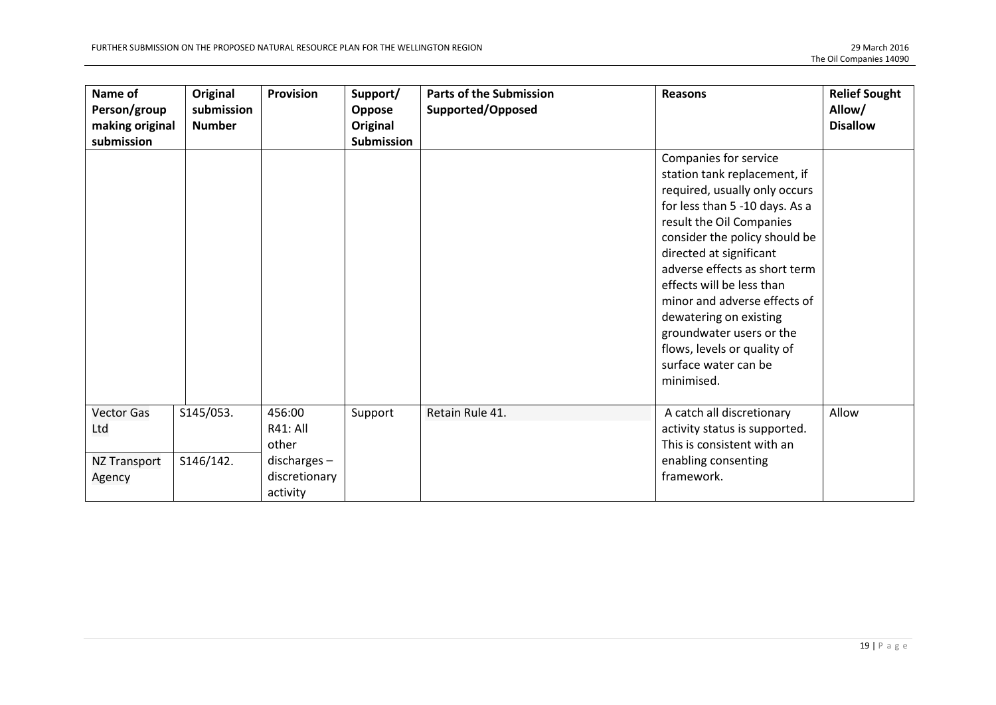| Name of<br>Person/group<br>making original<br>submission | Original<br>submission<br><b>Number</b> | <b>Provision</b>                            | Support/<br>Oppose<br>Original<br><b>Submission</b> | <b>Parts of the Submission</b><br>Supported/Opposed | <b>Reasons</b>                                                                                                                                                                                                                                                                                                                                                                                                                            | <b>Relief Sought</b><br>Allow/<br><b>Disallow</b> |
|----------------------------------------------------------|-----------------------------------------|---------------------------------------------|-----------------------------------------------------|-----------------------------------------------------|-------------------------------------------------------------------------------------------------------------------------------------------------------------------------------------------------------------------------------------------------------------------------------------------------------------------------------------------------------------------------------------------------------------------------------------------|---------------------------------------------------|
|                                                          |                                         |                                             |                                                     |                                                     | Companies for service<br>station tank replacement, if<br>required, usually only occurs<br>for less than 5 -10 days. As a<br>result the Oil Companies<br>consider the policy should be<br>directed at significant<br>adverse effects as short term<br>effects will be less than<br>minor and adverse effects of<br>dewatering on existing<br>groundwater users or the<br>flows, levels or quality of<br>surface water can be<br>minimised. |                                                   |
| <b>Vector Gas</b><br>Ltd                                 | S145/053.                               | 456:00<br><b>R41: All</b><br>other          | Support                                             | Retain Rule 41.                                     | A catch all discretionary<br>activity status is supported.<br>This is consistent with an                                                                                                                                                                                                                                                                                                                                                  | Allow                                             |
| NZ Transport<br>Agency                                   | S146/142.                               | $discharges -$<br>discretionary<br>activity |                                                     |                                                     | enabling consenting<br>framework.                                                                                                                                                                                                                                                                                                                                                                                                         |                                                   |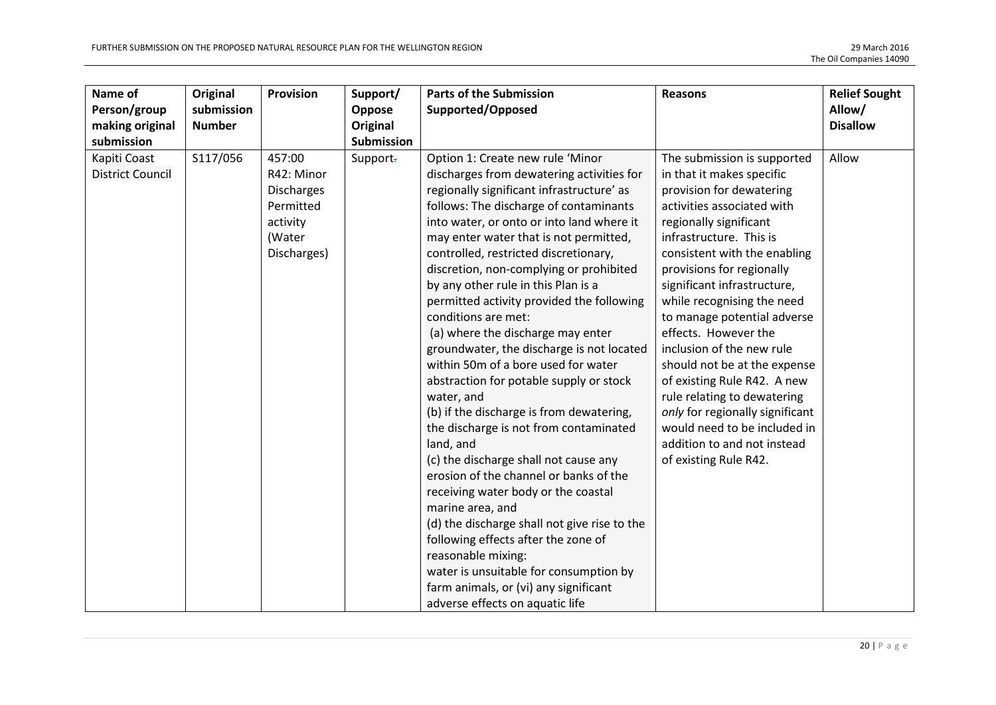| Name of<br>Person/group<br>making original | Original<br>submission<br><b>Number</b> | Provision                                                                                   | Support/<br>Oppose<br><b>Original</b> | <b>Parts of the Submission</b><br>Supported/Opposed                                                                                                                                                                                                                                                                                                                                                                                                                                                                                                                                                                                                                                                                                                                                                                                                                                                                                                                                                                                                                                                                              | <b>Reasons</b>                                                                                                                                                                                                                                                                                                                                                                                                                                                                                                                                                                                                 | <b>Relief Sought</b><br>Allow/<br><b>Disallow</b> |
|--------------------------------------------|-----------------------------------------|---------------------------------------------------------------------------------------------|---------------------------------------|----------------------------------------------------------------------------------------------------------------------------------------------------------------------------------------------------------------------------------------------------------------------------------------------------------------------------------------------------------------------------------------------------------------------------------------------------------------------------------------------------------------------------------------------------------------------------------------------------------------------------------------------------------------------------------------------------------------------------------------------------------------------------------------------------------------------------------------------------------------------------------------------------------------------------------------------------------------------------------------------------------------------------------------------------------------------------------------------------------------------------------|----------------------------------------------------------------------------------------------------------------------------------------------------------------------------------------------------------------------------------------------------------------------------------------------------------------------------------------------------------------------------------------------------------------------------------------------------------------------------------------------------------------------------------------------------------------------------------------------------------------|---------------------------------------------------|
| submission                                 |                                         |                                                                                             | <b>Submission</b>                     |                                                                                                                                                                                                                                                                                                                                                                                                                                                                                                                                                                                                                                                                                                                                                                                                                                                                                                                                                                                                                                                                                                                                  |                                                                                                                                                                                                                                                                                                                                                                                                                                                                                                                                                                                                                |                                                   |
| Kapiti Coast<br><b>District Council</b>    | S117/056                                | 457:00<br>R42: Minor<br><b>Discharges</b><br>Permitted<br>activity<br>(Water<br>Discharges) | Support-                              | Option 1: Create new rule 'Minor<br>discharges from dewatering activities for<br>regionally significant infrastructure' as<br>follows: The discharge of contaminants<br>into water, or onto or into land where it<br>may enter water that is not permitted,<br>controlled, restricted discretionary,<br>discretion, non-complying or prohibited<br>by any other rule in this Plan is a<br>permitted activity provided the following<br>conditions are met:<br>(a) where the discharge may enter<br>groundwater, the discharge is not located<br>within 50m of a bore used for water<br>abstraction for potable supply or stock<br>water, and<br>(b) if the discharge is from dewatering,<br>the discharge is not from contaminated<br>land, and<br>(c) the discharge shall not cause any<br>erosion of the channel or banks of the<br>receiving water body or the coastal<br>marine area, and<br>(d) the discharge shall not give rise to the<br>following effects after the zone of<br>reasonable mixing:<br>water is unsuitable for consumption by<br>farm animals, or (vi) any significant<br>adverse effects on aquatic life | The submission is supported<br>in that it makes specific<br>provision for dewatering<br>activities associated with<br>regionally significant<br>infrastructure. This is<br>consistent with the enabling<br>provisions for regionally<br>significant infrastructure,<br>while recognising the need<br>to manage potential adverse<br>effects. However the<br>inclusion of the new rule<br>should not be at the expense<br>of existing Rule R42. A new<br>rule relating to dewatering<br>only for regionally significant<br>would need to be included in<br>addition to and not instead<br>of existing Rule R42. | Allow                                             |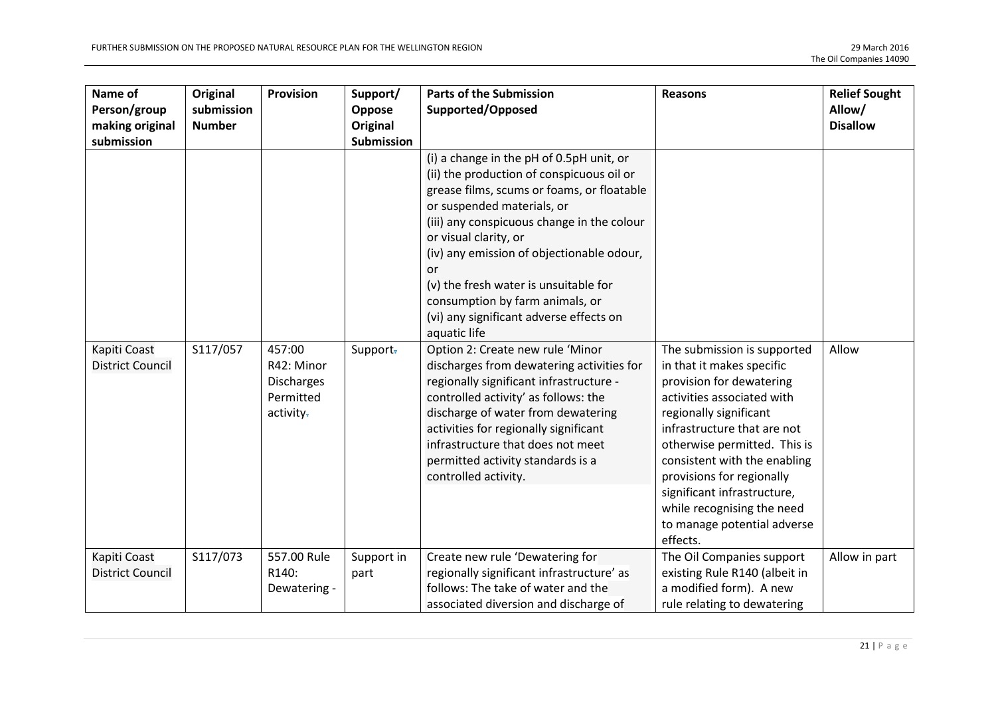| Name of<br>Person/group<br>making original            | Original<br>submission<br><b>Number</b> | Provision                                                    | Support/<br>Oppose<br>Original | <b>Parts of the Submission</b><br>Supported/Opposed                                                                                                                                                                                                                                                                                                                                                                                                                                                                                                                                                                                                                                                                                                                                     | <b>Reasons</b>                                                                                                                                                                                                                                                                                                                                                                   | <b>Relief Sought</b><br>Allow/<br><b>Disallow</b> |
|-------------------------------------------------------|-----------------------------------------|--------------------------------------------------------------|--------------------------------|-----------------------------------------------------------------------------------------------------------------------------------------------------------------------------------------------------------------------------------------------------------------------------------------------------------------------------------------------------------------------------------------------------------------------------------------------------------------------------------------------------------------------------------------------------------------------------------------------------------------------------------------------------------------------------------------------------------------------------------------------------------------------------------------|----------------------------------------------------------------------------------------------------------------------------------------------------------------------------------------------------------------------------------------------------------------------------------------------------------------------------------------------------------------------------------|---------------------------------------------------|
| submission<br>Kapiti Coast<br><b>District Council</b> | S117/057                                | 457:00<br>R42: Minor<br>Discharges<br>Permitted<br>activity- | <b>Submission</b><br>Support-  | (i) a change in the pH of 0.5pH unit, or<br>(ii) the production of conspicuous oil or<br>grease films, scums or foams, or floatable<br>or suspended materials, or<br>(iii) any conspicuous change in the colour<br>or visual clarity, or<br>(iv) any emission of objectionable odour,<br>or<br>(v) the fresh water is unsuitable for<br>consumption by farm animals, or<br>(vi) any significant adverse effects on<br>aquatic life<br>Option 2: Create new rule 'Minor<br>discharges from dewatering activities for<br>regionally significant infrastructure -<br>controlled activity' as follows: the<br>discharge of water from dewatering<br>activities for regionally significant<br>infrastructure that does not meet<br>permitted activity standards is a<br>controlled activity. | The submission is supported<br>in that it makes specific<br>provision for dewatering<br>activities associated with<br>regionally significant<br>infrastructure that are not<br>otherwise permitted. This is<br>consistent with the enabling<br>provisions for regionally<br>significant infrastructure,<br>while recognising the need<br>to manage potential adverse<br>effects. | Allow                                             |
| Kapiti Coast<br><b>District Council</b>               | S117/073                                | 557.00 Rule<br>R140:<br>Dewatering -                         | Support in<br>part             | Create new rule 'Dewatering for<br>regionally significant infrastructure' as<br>follows: The take of water and the<br>associated diversion and discharge of                                                                                                                                                                                                                                                                                                                                                                                                                                                                                                                                                                                                                             | The Oil Companies support<br>existing Rule R140 (albeit in<br>a modified form). A new<br>rule relating to dewatering                                                                                                                                                                                                                                                             | Allow in part                                     |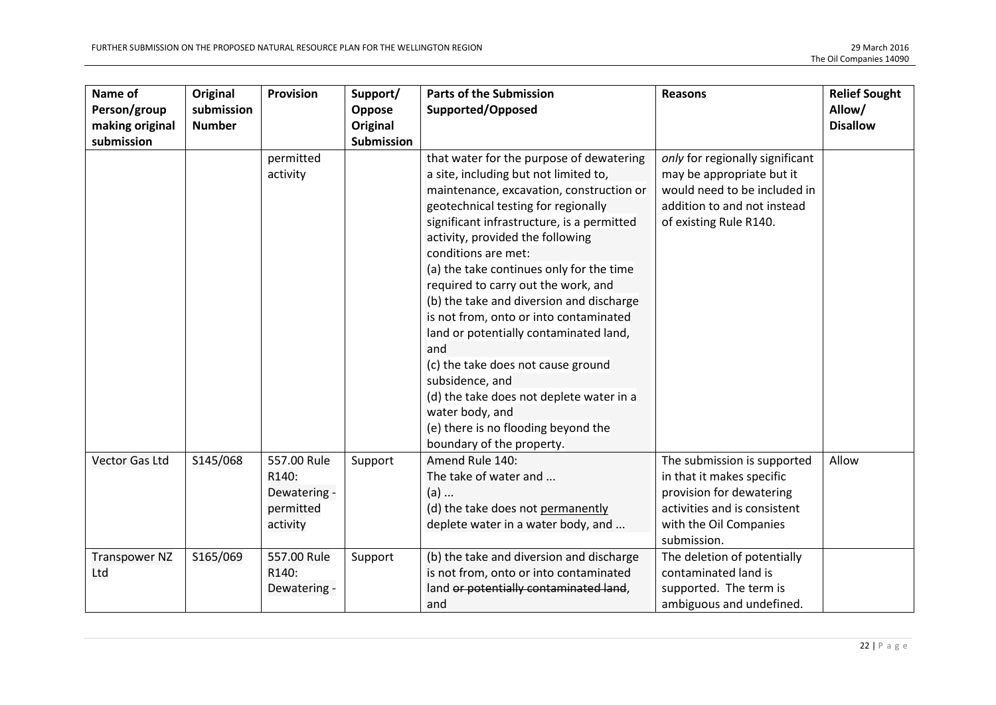| Name of<br>Person/group<br>making original | Original<br>submission<br><b>Number</b> | Provision                                                     | Support/<br>Oppose<br>Original | <b>Parts of the Submission</b><br>Supported/Opposed                                                                                                                                                                                                                                                                                                                                                                                                                                                                                                                                                                                                                                                 | <b>Reasons</b>                                                                                                                                                | <b>Relief Sought</b><br>Allow/<br><b>Disallow</b> |
|--------------------------------------------|-----------------------------------------|---------------------------------------------------------------|--------------------------------|-----------------------------------------------------------------------------------------------------------------------------------------------------------------------------------------------------------------------------------------------------------------------------------------------------------------------------------------------------------------------------------------------------------------------------------------------------------------------------------------------------------------------------------------------------------------------------------------------------------------------------------------------------------------------------------------------------|---------------------------------------------------------------------------------------------------------------------------------------------------------------|---------------------------------------------------|
| submission                                 |                                         |                                                               | <b>Submission</b>              |                                                                                                                                                                                                                                                                                                                                                                                                                                                                                                                                                                                                                                                                                                     |                                                                                                                                                               |                                                   |
|                                            |                                         | permitted<br>activity                                         |                                | that water for the purpose of dewatering<br>a site, including but not limited to,<br>maintenance, excavation, construction or<br>geotechnical testing for regionally<br>significant infrastructure, is a permitted<br>activity, provided the following<br>conditions are met:<br>(a) the take continues only for the time<br>required to carry out the work, and<br>(b) the take and diversion and discharge<br>is not from, onto or into contaminated<br>land or potentially contaminated land,<br>and<br>(c) the take does not cause ground<br>subsidence, and<br>(d) the take does not deplete water in a<br>water body, and<br>(e) there is no flooding beyond the<br>boundary of the property. | only for regionally significant<br>may be appropriate but it<br>would need to be included in<br>addition to and not instead<br>of existing Rule R140.         |                                                   |
| <b>Vector Gas Ltd</b>                      | S145/068                                | 557.00 Rule<br>R140:<br>Dewatering -<br>permitted<br>activity | Support                        | Amend Rule 140:<br>The take of water and<br>$(a)$<br>(d) the take does not permanently<br>deplete water in a water body, and                                                                                                                                                                                                                                                                                                                                                                                                                                                                                                                                                                        | The submission is supported<br>in that it makes specific<br>provision for dewatering<br>activities and is consistent<br>with the Oil Companies<br>submission. | Allow                                             |
| <b>Transpower NZ</b><br>Ltd                | S165/069                                | 557.00 Rule<br>R140:<br>Dewatering -                          | Support                        | (b) the take and diversion and discharge<br>is not from, onto or into contaminated<br>land or potentially contaminated land,<br>and                                                                                                                                                                                                                                                                                                                                                                                                                                                                                                                                                                 | The deletion of potentially<br>contaminated land is<br>supported. The term is<br>ambiguous and undefined.                                                     |                                                   |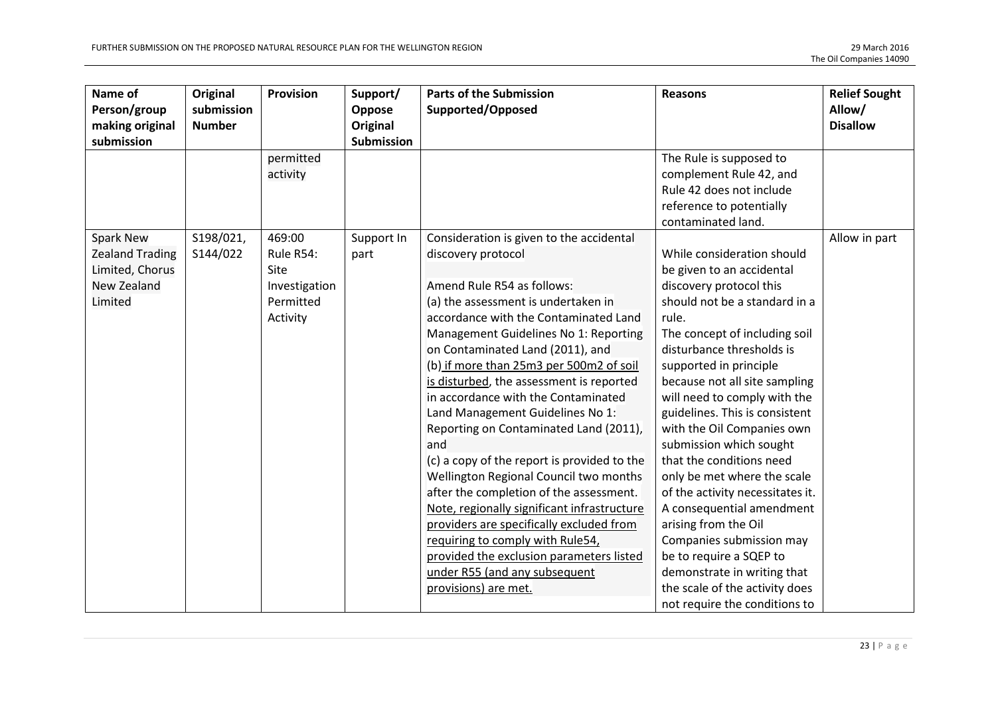| Name of<br>Person/group<br>making original                                                                   | Original<br>submission<br><b>Number</b> | <b>Provision</b>                                                                                      | Support/<br>Oppose<br>Original   | <b>Parts of the Submission</b><br>Supported/Opposed                                                                                                                                                                                                                                                                                                                                                                                                                                                                                                                                                                                                                                                                                                                                                                                                  | <b>Reasons</b>                                                                                                                                                                                                                                                                                                                                                                                                                                                                                                                                                                                                                                                                                                                                                                                   | <b>Relief Sought</b><br>Allow/<br><b>Disallow</b> |
|--------------------------------------------------------------------------------------------------------------|-----------------------------------------|-------------------------------------------------------------------------------------------------------|----------------------------------|------------------------------------------------------------------------------------------------------------------------------------------------------------------------------------------------------------------------------------------------------------------------------------------------------------------------------------------------------------------------------------------------------------------------------------------------------------------------------------------------------------------------------------------------------------------------------------------------------------------------------------------------------------------------------------------------------------------------------------------------------------------------------------------------------------------------------------------------------|--------------------------------------------------------------------------------------------------------------------------------------------------------------------------------------------------------------------------------------------------------------------------------------------------------------------------------------------------------------------------------------------------------------------------------------------------------------------------------------------------------------------------------------------------------------------------------------------------------------------------------------------------------------------------------------------------------------------------------------------------------------------------------------------------|---------------------------------------------------|
| submission<br><b>Spark New</b><br><b>Zealand Trading</b><br>Limited, Chorus<br><b>New Zealand</b><br>Limited | S198/021,<br>S144/022                   | permitted<br>activity<br>469:00<br>Rule R54:<br><b>Site</b><br>Investigation<br>Permitted<br>Activity | Submission<br>Support In<br>part | Consideration is given to the accidental<br>discovery protocol<br>Amend Rule R54 as follows:<br>(a) the assessment is undertaken in<br>accordance with the Contaminated Land<br>Management Guidelines No 1: Reporting<br>on Contaminated Land (2011), and<br>(b) if more than 25m3 per 500m2 of soil<br>is disturbed, the assessment is reported<br>in accordance with the Contaminated<br>Land Management Guidelines No 1:<br>Reporting on Contaminated Land (2011),<br>and<br>(c) a copy of the report is provided to the<br>Wellington Regional Council two months<br>after the completion of the assessment.<br>Note, regionally significant infrastructure<br>providers are specifically excluded from<br>requiring to comply with Rule54,<br>provided the exclusion parameters listed<br>under R55 (and any subsequent<br>provisions) are met. | The Rule is supposed to<br>complement Rule 42, and<br>Rule 42 does not include<br>reference to potentially<br>contaminated land.<br>While consideration should<br>be given to an accidental<br>discovery protocol this<br>should not be a standard in a<br>rule.<br>The concept of including soil<br>disturbance thresholds is<br>supported in principle<br>because not all site sampling<br>will need to comply with the<br>guidelines. This is consistent<br>with the Oil Companies own<br>submission which sought<br>that the conditions need<br>only be met where the scale<br>of the activity necessitates it.<br>A consequential amendment<br>arising from the Oil<br>Companies submission may<br>be to require a SQEP to<br>demonstrate in writing that<br>the scale of the activity does | Allow in part                                     |
|                                                                                                              |                                         |                                                                                                       |                                  |                                                                                                                                                                                                                                                                                                                                                                                                                                                                                                                                                                                                                                                                                                                                                                                                                                                      | not require the conditions to                                                                                                                                                                                                                                                                                                                                                                                                                                                                                                                                                                                                                                                                                                                                                                    |                                                   |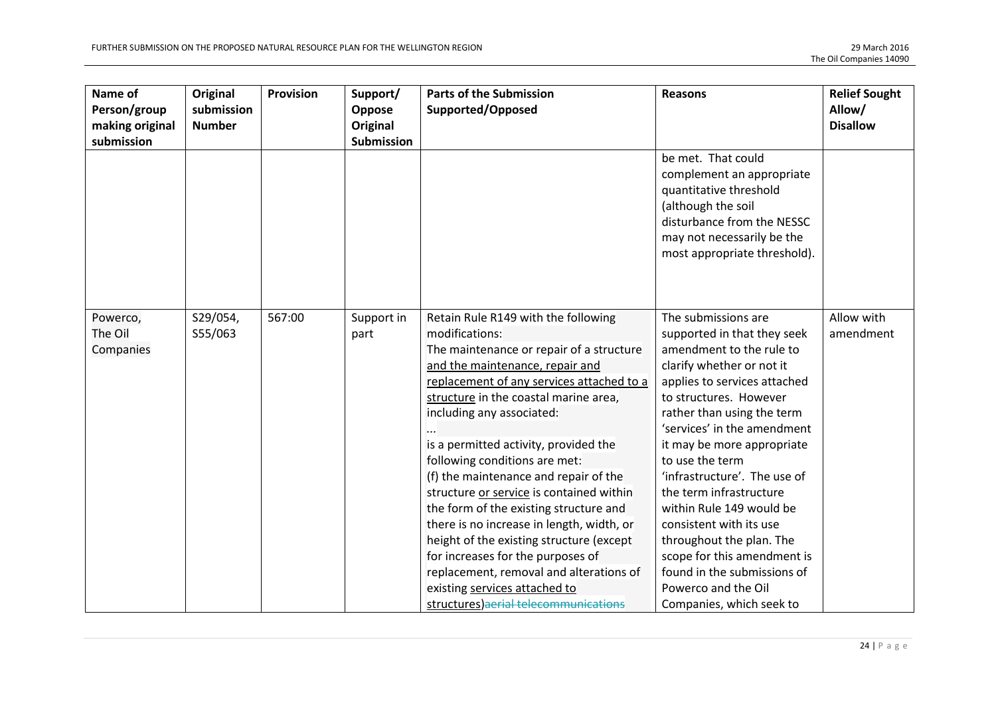| Name of<br>Person/group          | Original<br>submission<br><b>Number</b> | Provision | Support/<br>Oppose            | <b>Parts of the Submission</b><br>Supported/Opposed                                                                                                                                                                                                                                                                                                                                                                                                                                                                                                                                                                                                                                                                 | <b>Reasons</b>                                                                                                                                                                                                                                                                                                                                                                                                                                                                                                                                     | <b>Relief Sought</b><br>Allow/<br><b>Disallow</b> |
|----------------------------------|-----------------------------------------|-----------|-------------------------------|---------------------------------------------------------------------------------------------------------------------------------------------------------------------------------------------------------------------------------------------------------------------------------------------------------------------------------------------------------------------------------------------------------------------------------------------------------------------------------------------------------------------------------------------------------------------------------------------------------------------------------------------------------------------------------------------------------------------|----------------------------------------------------------------------------------------------------------------------------------------------------------------------------------------------------------------------------------------------------------------------------------------------------------------------------------------------------------------------------------------------------------------------------------------------------------------------------------------------------------------------------------------------------|---------------------------------------------------|
| making original<br>submission    |                                         |           | Original<br><b>Submission</b> |                                                                                                                                                                                                                                                                                                                                                                                                                                                                                                                                                                                                                                                                                                                     |                                                                                                                                                                                                                                                                                                                                                                                                                                                                                                                                                    |                                                   |
|                                  |                                         |           |                               |                                                                                                                                                                                                                                                                                                                                                                                                                                                                                                                                                                                                                                                                                                                     | be met. That could<br>complement an appropriate<br>quantitative threshold<br>(although the soil<br>disturbance from the NESSC<br>may not necessarily be the<br>most appropriate threshold).                                                                                                                                                                                                                                                                                                                                                        |                                                   |
| Powerco,<br>The Oil<br>Companies | S29/054,<br>S55/063                     | 567:00    | Support in<br>part            | Retain Rule R149 with the following<br>modifications:<br>The maintenance or repair of a structure<br>and the maintenance, repair and<br>replacement of any services attached to a<br>structure in the coastal marine area,<br>including any associated:<br>is a permitted activity, provided the<br>following conditions are met:<br>(f) the maintenance and repair of the<br>structure or service is contained within<br>the form of the existing structure and<br>there is no increase in length, width, or<br>height of the existing structure (except<br>for increases for the purposes of<br>replacement, removal and alterations of<br>existing services attached to<br>structures) aerial telecommunications | The submissions are<br>supported in that they seek<br>amendment to the rule to<br>clarify whether or not it<br>applies to services attached<br>to structures. However<br>rather than using the term<br>'services' in the amendment<br>it may be more appropriate<br>to use the term<br>'infrastructure'. The use of<br>the term infrastructure<br>within Rule 149 would be<br>consistent with its use<br>throughout the plan. The<br>scope for this amendment is<br>found in the submissions of<br>Powerco and the Oil<br>Companies, which seek to | Allow with<br>amendment                           |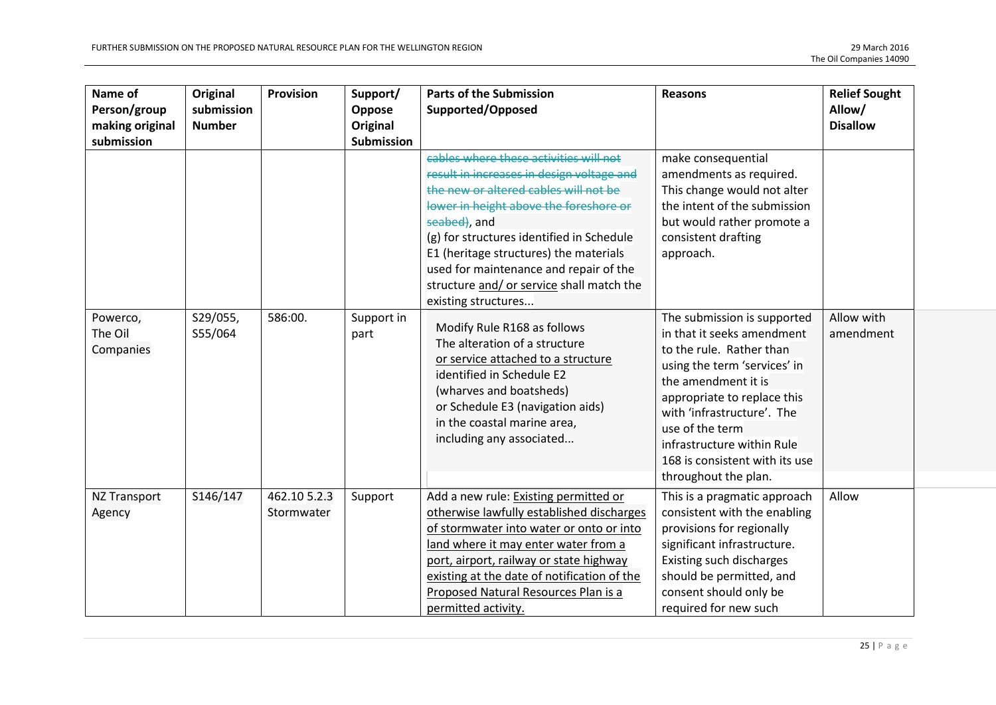| Name of<br>Person/group<br>making original<br>submission | Original<br>submission<br><b>Number</b> | <b>Provision</b>           | Support/<br>Oppose<br><b>Original</b><br>Submission | <b>Parts of the Submission</b><br>Supported/Opposed                                                                                                                                                                                                                                                                                                                                         | <b>Reasons</b>                                                                                                                                                                                                                                                                                                       | <b>Relief Sought</b><br>Allow/<br><b>Disallow</b> |
|----------------------------------------------------------|-----------------------------------------|----------------------------|-----------------------------------------------------|---------------------------------------------------------------------------------------------------------------------------------------------------------------------------------------------------------------------------------------------------------------------------------------------------------------------------------------------------------------------------------------------|----------------------------------------------------------------------------------------------------------------------------------------------------------------------------------------------------------------------------------------------------------------------------------------------------------------------|---------------------------------------------------|
|                                                          |                                         |                            |                                                     | cables where these activities will not<br>result in increases in design voltage and<br>the new or altered cables will not be<br>lower in height above the foreshore or<br>seabed), and<br>(g) for structures identified in Schedule<br>E1 (heritage structures) the materials<br>used for maintenance and repair of the<br>structure and/ or service shall match the<br>existing structures | make consequential<br>amendments as required.<br>This change would not alter<br>the intent of the submission<br>but would rather promote a<br>consistent drafting<br>approach.                                                                                                                                       |                                                   |
| Powerco,<br>The Oil<br>Companies                         | S29/055,<br>S55/064                     | 586:00.                    | Support in<br>part                                  | Modify Rule R168 as follows<br>The alteration of a structure<br>or service attached to a structure<br>identified in Schedule E2<br>(wharves and boatsheds)<br>or Schedule E3 (navigation aids)<br>in the coastal marine area.<br>including any associated                                                                                                                                   | The submission is supported<br>in that it seeks amendment<br>to the rule. Rather than<br>using the term 'services' in<br>the amendment it is<br>appropriate to replace this<br>with 'infrastructure'. The<br>use of the term<br>infrastructure within Rule<br>168 is consistent with its use<br>throughout the plan. | Allow with<br>amendment                           |
| <b>NZ Transport</b><br>Agency                            | S146/147                                | 462.10 5.2.3<br>Stormwater | Support                                             | Add a new rule: Existing permitted or<br>otherwise lawfully established discharges<br>of stormwater into water or onto or into<br>land where it may enter water from a<br>port, airport, railway or state highway<br>existing at the date of notification of the<br>Proposed Natural Resources Plan is a<br>permitted activity.                                                             | This is a pragmatic approach<br>consistent with the enabling<br>provisions for regionally<br>significant infrastructure.<br>Existing such discharges<br>should be permitted, and<br>consent should only be<br>required for new such                                                                                  | Allow                                             |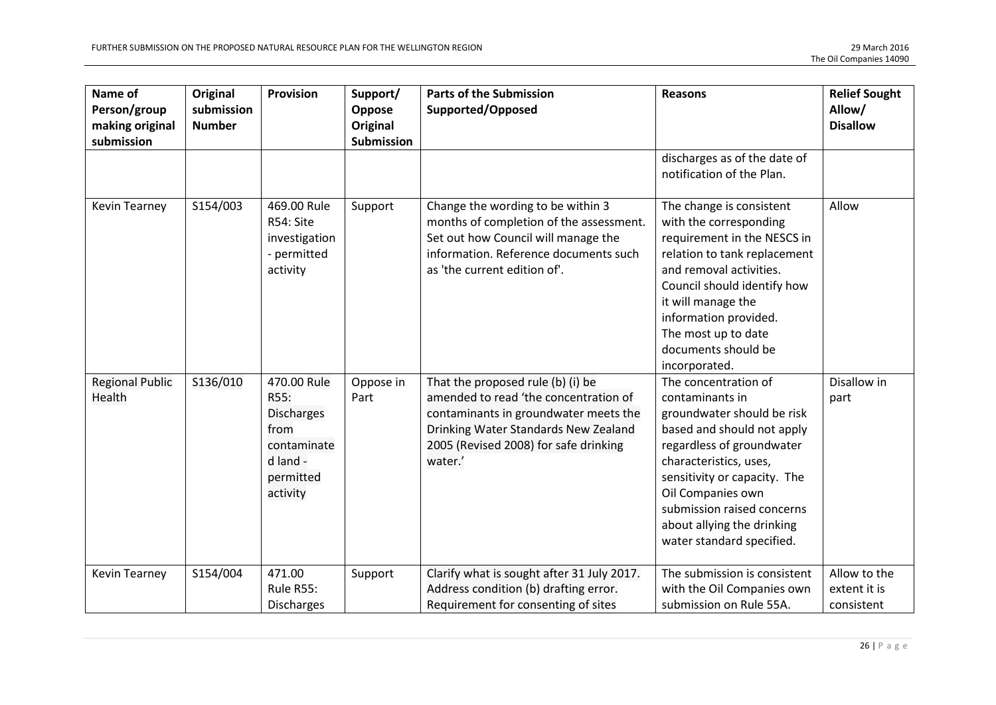| Name of<br>Person/group<br>making original<br>submission | Original<br>submission<br><b>Number</b> | Provision                                                                                            | Support/<br>Oppose<br><b>Original</b><br>Submission | <b>Parts of the Submission</b><br>Supported/Opposed                                                                                                                                                             | <b>Reasons</b>                                                                                                                                                                                                                                                                                           | <b>Relief Sought</b><br>Allow/<br><b>Disallow</b> |
|----------------------------------------------------------|-----------------------------------------|------------------------------------------------------------------------------------------------------|-----------------------------------------------------|-----------------------------------------------------------------------------------------------------------------------------------------------------------------------------------------------------------------|----------------------------------------------------------------------------------------------------------------------------------------------------------------------------------------------------------------------------------------------------------------------------------------------------------|---------------------------------------------------|
|                                                          |                                         |                                                                                                      |                                                     |                                                                                                                                                                                                                 | discharges as of the date of<br>notification of the Plan.                                                                                                                                                                                                                                                |                                                   |
| Kevin Tearney                                            | S154/003                                | 469.00 Rule<br>R54: Site<br>investigation<br>- permitted<br>activity                                 | Support                                             | Change the wording to be within 3<br>months of completion of the assessment.<br>Set out how Council will manage the<br>information. Reference documents such<br>as 'the current edition of'.                    | The change is consistent<br>with the corresponding<br>requirement in the NESCS in<br>relation to tank replacement<br>and removal activities.<br>Council should identify how<br>it will manage the<br>information provided.<br>The most up to date<br>documents should be<br>incorporated.                | Allow                                             |
| <b>Regional Public</b><br>Health                         | S136/010                                | 470.00 Rule<br>R55:<br><b>Discharges</b><br>from<br>contaminate<br>d land -<br>permitted<br>activity | Oppose in<br>Part                                   | That the proposed rule (b) (i) be<br>amended to read 'the concentration of<br>contaminants in groundwater meets the<br>Drinking Water Standards New Zealand<br>2005 (Revised 2008) for safe drinking<br>water.' | The concentration of<br>contaminants in<br>groundwater should be risk<br>based and should not apply<br>regardless of groundwater<br>characteristics, uses,<br>sensitivity or capacity. The<br>Oil Companies own<br>submission raised concerns<br>about allying the drinking<br>water standard specified. | Disallow in<br>part                               |
| Kevin Tearney                                            | S154/004                                | 471.00<br>Rule R55:<br><b>Discharges</b>                                                             | Support                                             | Clarify what is sought after 31 July 2017.<br>Address condition (b) drafting error.<br>Requirement for consenting of sites                                                                                      | The submission is consistent<br>with the Oil Companies own<br>submission on Rule 55A.                                                                                                                                                                                                                    | Allow to the<br>extent it is<br>consistent        |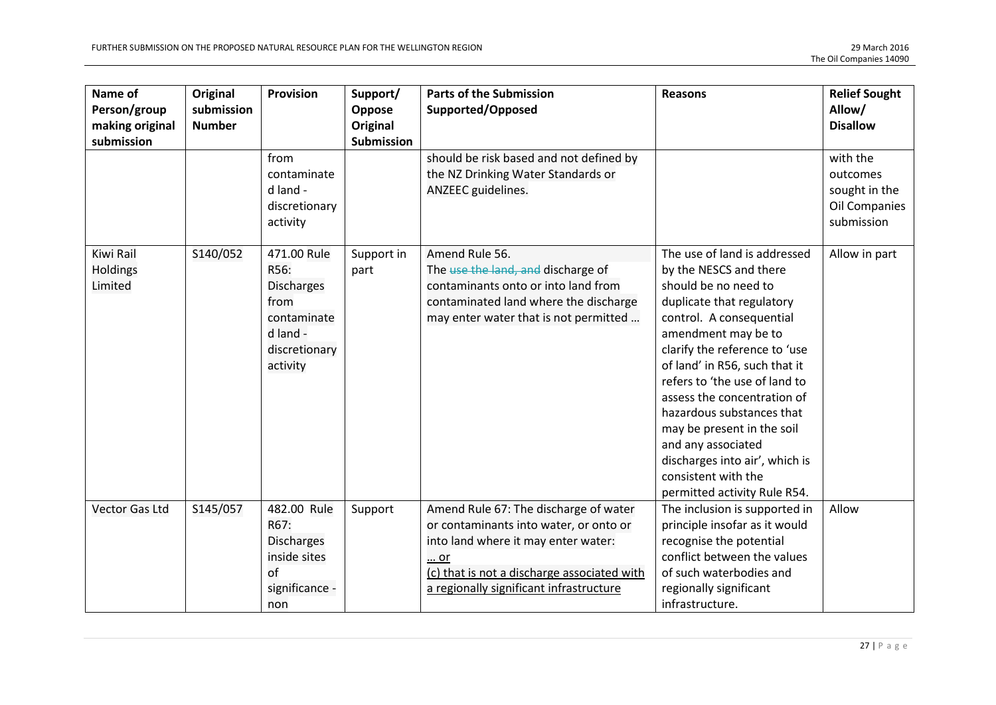| Name of<br>Person/group<br>making original<br>submission | <b>Original</b><br>submission<br><b>Number</b> | Provision                                                                                                | Support/<br>Oppose<br>Original<br><b>Submission</b> | <b>Parts of the Submission</b><br>Supported/Opposed                                                                                                                                                                    | <b>Reasons</b>                                                                                                                                                                                                                                                                                                                                                                                                                                                             | <b>Relief Sought</b><br>Allow/<br><b>Disallow</b>                    |
|----------------------------------------------------------|------------------------------------------------|----------------------------------------------------------------------------------------------------------|-----------------------------------------------------|------------------------------------------------------------------------------------------------------------------------------------------------------------------------------------------------------------------------|----------------------------------------------------------------------------------------------------------------------------------------------------------------------------------------------------------------------------------------------------------------------------------------------------------------------------------------------------------------------------------------------------------------------------------------------------------------------------|----------------------------------------------------------------------|
|                                                          |                                                | from<br>contaminate<br>d land -<br>discretionary<br>activity                                             |                                                     | should be risk based and not defined by<br>the NZ Drinking Water Standards or<br>ANZEEC guidelines.                                                                                                                    |                                                                                                                                                                                                                                                                                                                                                                                                                                                                            | with the<br>outcomes<br>sought in the<br>Oil Companies<br>submission |
| Kiwi Rail<br>Holdings<br>Limited                         | S140/052                                       | 471.00 Rule<br>R56:<br><b>Discharges</b><br>from<br>contaminate<br>d land -<br>discretionary<br>activity | Support in<br>part                                  | Amend Rule 56.<br>The use the land, and discharge of<br>contaminants onto or into land from<br>contaminated land where the discharge<br>may enter water that is not permitted                                          | The use of land is addressed<br>by the NESCS and there<br>should be no need to<br>duplicate that regulatory<br>control. A consequential<br>amendment may be to<br>clarify the reference to 'use<br>of land' in R56, such that it<br>refers to 'the use of land to<br>assess the concentration of<br>hazardous substances that<br>may be present in the soil<br>and any associated<br>discharges into air', which is<br>consistent with the<br>permitted activity Rule R54. | Allow in part                                                        |
| <b>Vector Gas Ltd</b>                                    | S145/057                                       | 482.00 Rule<br>R67:<br><b>Discharges</b><br>inside sites<br>of<br>significance -<br>non                  | Support                                             | Amend Rule 67: The discharge of water<br>or contaminants into water, or onto or<br>into land where it may enter water:<br>or<br>(c) that is not a discharge associated with<br>a regionally significant infrastructure | The inclusion is supported in<br>principle insofar as it would<br>recognise the potential<br>conflict between the values<br>of such waterbodies and<br>regionally significant<br>infrastructure.                                                                                                                                                                                                                                                                           | Allow                                                                |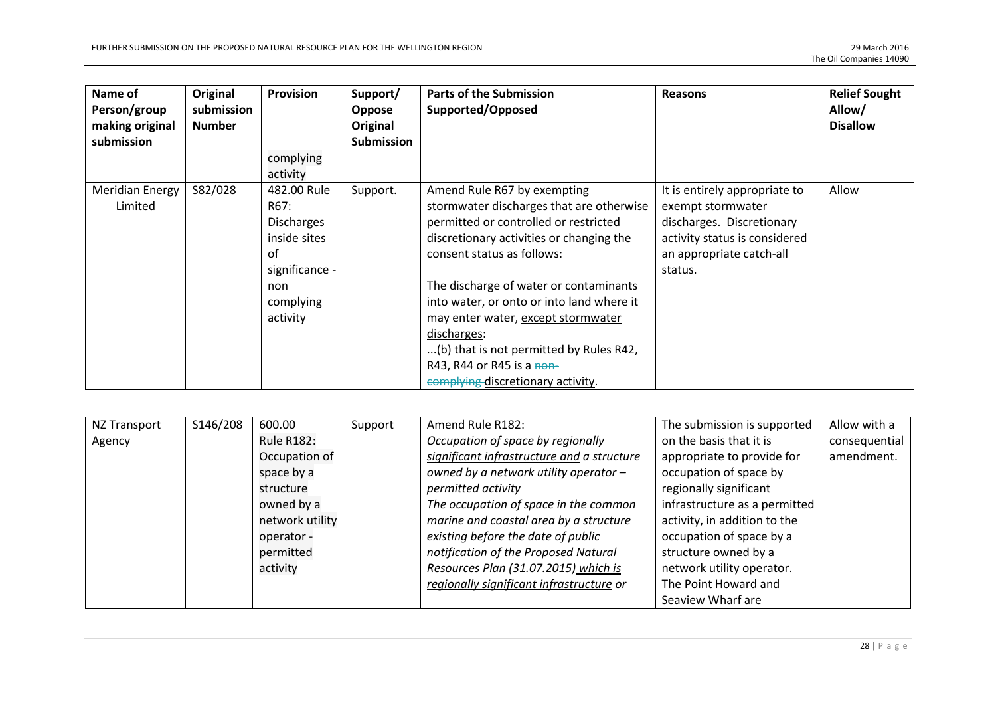| Name of<br>Person/group<br>making original<br>submission | Original<br>submission<br><b>Number</b> | <b>Provision</b>                                                                                          | Support/<br><b>Oppose</b><br>Original<br><b>Submission</b> | <b>Parts of the Submission</b><br>Supported/Opposed                                                                                                                                                                                                                                                                                                                                                                                                 | <b>Reasons</b>                                                                                                                                          | <b>Relief Sought</b><br>Allow/<br><b>Disallow</b> |
|----------------------------------------------------------|-----------------------------------------|-----------------------------------------------------------------------------------------------------------|------------------------------------------------------------|-----------------------------------------------------------------------------------------------------------------------------------------------------------------------------------------------------------------------------------------------------------------------------------------------------------------------------------------------------------------------------------------------------------------------------------------------------|---------------------------------------------------------------------------------------------------------------------------------------------------------|---------------------------------------------------|
|                                                          |                                         | complying<br>activity                                                                                     |                                                            |                                                                                                                                                                                                                                                                                                                                                                                                                                                     |                                                                                                                                                         |                                                   |
| Meridian Energy<br>Limited                               | S82/028                                 | 482.00 Rule<br>R67:<br>Discharges<br>inside sites<br>οf<br>significance -<br>non<br>complying<br>activity | Support.                                                   | Amend Rule R67 by exempting<br>stormwater discharges that are otherwise<br>permitted or controlled or restricted<br>discretionary activities or changing the<br>consent status as follows:<br>The discharge of water or contaminants<br>into water, or onto or into land where it<br>may enter water, except stormwater<br>discharges:<br>(b) that is not permitted by Rules R42,<br>R43, R44 or R45 is a non-<br>complying discretionary activity. | It is entirely appropriate to<br>exempt stormwater<br>discharges. Discretionary<br>activity status is considered<br>an appropriate catch-all<br>status. | Allow                                             |

| NZ Transport | S146/208 | 600.00            | Support | Amend Rule R182:                           | The submission is supported   | Allow with a  |
|--------------|----------|-------------------|---------|--------------------------------------------|-------------------------------|---------------|
| Agency       |          | <b>Rule R182:</b> |         | Occupation of space by regionally          | on the basis that it is       | consequential |
|              |          | Occupation of     |         | significant infrastructure and a structure | appropriate to provide for    | amendment.    |
|              |          | space by a        |         | owned by a network utility operator -      | occupation of space by        |               |
|              |          | structure         |         | permitted activity                         | regionally significant        |               |
|              |          | owned by a        |         | The occupation of space in the common      | infrastructure as a permitted |               |
|              |          | network utility   |         | marine and coastal area by a structure     | activity, in addition to the  |               |
|              |          | operator -        |         | existing before the date of public         | occupation of space by a      |               |
|              |          | permitted         |         | notification of the Proposed Natural       | structure owned by a          |               |
|              |          | activity          |         | Resources Plan (31.07.2015) which is       | network utility operator.     |               |
|              |          |                   |         | regionally significant infrastructure or   | The Point Howard and          |               |
|              |          |                   |         |                                            | Seaview Wharf are             |               |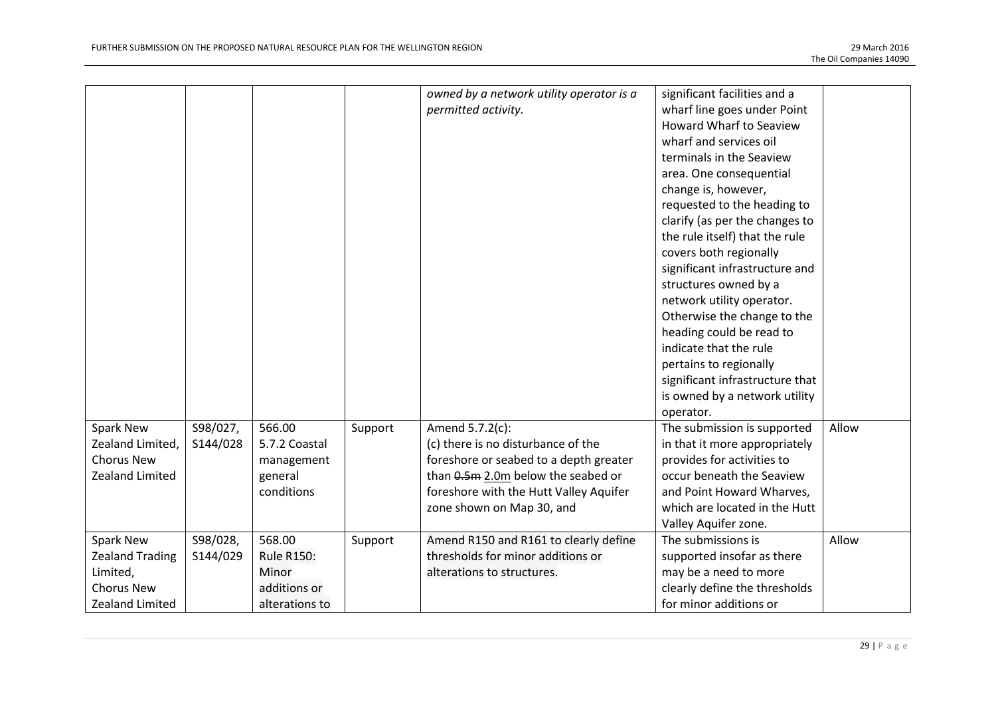|                        |          |                   |         | owned by a network utility operator is a | significant facilities and a    |       |
|------------------------|----------|-------------------|---------|------------------------------------------|---------------------------------|-------|
|                        |          |                   |         | permitted activity.                      | wharf line goes under Point     |       |
|                        |          |                   |         |                                          | <b>Howard Wharf to Seaview</b>  |       |
|                        |          |                   |         |                                          | wharf and services oil          |       |
|                        |          |                   |         |                                          | terminals in the Seaview        |       |
|                        |          |                   |         |                                          | area. One consequential         |       |
|                        |          |                   |         |                                          | change is, however,             |       |
|                        |          |                   |         |                                          | requested to the heading to     |       |
|                        |          |                   |         |                                          | clarify (as per the changes to  |       |
|                        |          |                   |         |                                          | the rule itself) that the rule  |       |
|                        |          |                   |         |                                          | covers both regionally          |       |
|                        |          |                   |         |                                          | significant infrastructure and  |       |
|                        |          |                   |         |                                          | structures owned by a           |       |
|                        |          |                   |         |                                          | network utility operator.       |       |
|                        |          |                   |         |                                          | Otherwise the change to the     |       |
|                        |          |                   |         |                                          | heading could be read to        |       |
|                        |          |                   |         |                                          | indicate that the rule          |       |
|                        |          |                   |         |                                          | pertains to regionally          |       |
|                        |          |                   |         |                                          | significant infrastructure that |       |
|                        |          |                   |         |                                          | is owned by a network utility   |       |
|                        |          |                   |         |                                          | operator.                       |       |
| Spark New              | S98/027, | 566.00            | Support | Amend 5.7.2(c):                          | The submission is supported     | Allow |
| Zealand Limited,       | S144/028 | 5.7.2 Coastal     |         | (c) there is no disturbance of the       | in that it more appropriately   |       |
| <b>Chorus New</b>      |          | management        |         | foreshore or seabed to a depth greater   | provides for activities to      |       |
| <b>Zealand Limited</b> |          | general           |         | than 0.5m 2.0m below the seabed or       | occur beneath the Seaview       |       |
|                        |          | conditions        |         | foreshore with the Hutt Valley Aquifer   | and Point Howard Wharves,       |       |
|                        |          |                   |         | zone shown on Map 30, and                | which are located in the Hutt   |       |
|                        |          |                   |         |                                          | Valley Aquifer zone.            |       |
| Spark New              | S98/028, | 568.00            | Support | Amend R150 and R161 to clearly define    | The submissions is              | Allow |
| <b>Zealand Trading</b> | S144/029 | <b>Rule R150:</b> |         | thresholds for minor additions or        | supported insofar as there      |       |
| Limited,               |          | Minor             |         | alterations to structures.               | may be a need to more           |       |
| <b>Chorus New</b>      |          | additions or      |         |                                          | clearly define the thresholds   |       |
| <b>Zealand Limited</b> |          | alterations to    |         |                                          | for minor additions or          |       |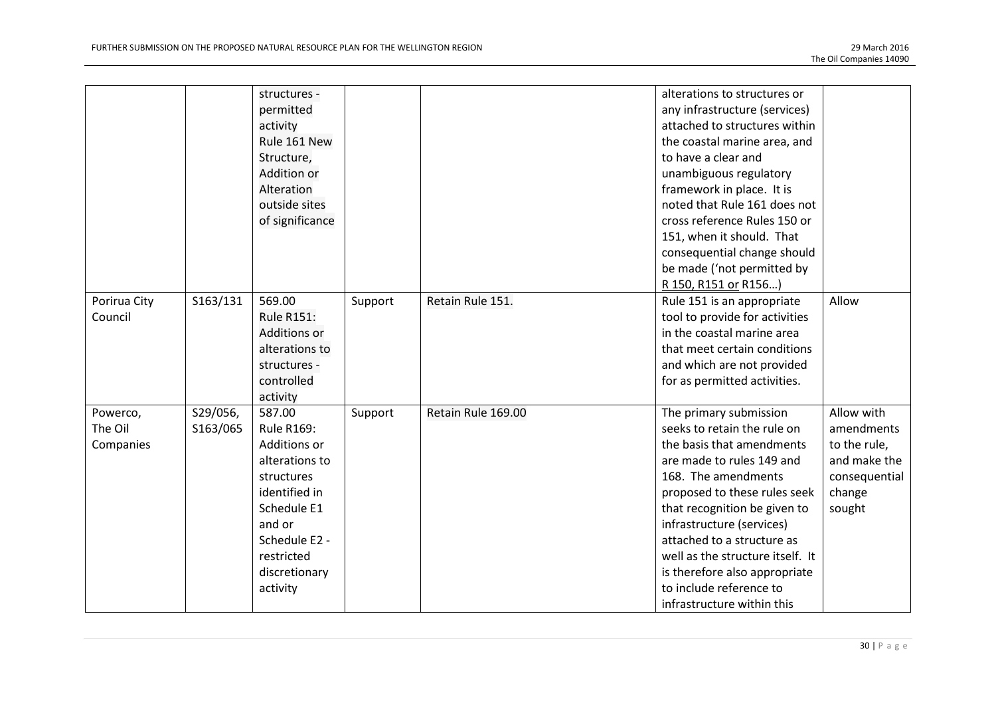|                                  |                      | structures -<br>permitted<br>activity<br>Rule 161 New<br>Structure,<br>Addition or<br>Alteration<br>outside sites<br>of significance                                              |         |                    | alterations to structures or<br>any infrastructure (services)<br>attached to structures within<br>the coastal marine area, and<br>to have a clear and<br>unambiguous regulatory<br>framework in place. It is<br>noted that Rule 161 does not<br>cross reference Rules 150 or<br>151, when it should. That<br>consequential change should<br>be made ('not permitted by<br>R 150, R151 or R156)  |                                                                                               |
|----------------------------------|----------------------|-----------------------------------------------------------------------------------------------------------------------------------------------------------------------------------|---------|--------------------|-------------------------------------------------------------------------------------------------------------------------------------------------------------------------------------------------------------------------------------------------------------------------------------------------------------------------------------------------------------------------------------------------|-----------------------------------------------------------------------------------------------|
| Porirua City<br>Council          | S163/131             | 569.00<br><b>Rule R151:</b><br><b>Additions or</b><br>alterations to<br>structures -<br>controlled<br>activity                                                                    | Support | Retain Rule 151.   | Rule 151 is an appropriate<br>tool to provide for activities<br>in the coastal marine area<br>that meet certain conditions<br>and which are not provided<br>for as permitted activities.                                                                                                                                                                                                        | Allow                                                                                         |
| Powerco,<br>The Oil<br>Companies | S29/056,<br>S163/065 | 587.00<br><b>Rule R169:</b><br>Additions or<br>alterations to<br>structures<br>identified in<br>Schedule E1<br>and or<br>Schedule E2 -<br>restricted<br>discretionary<br>activity | Support | Retain Rule 169.00 | The primary submission<br>seeks to retain the rule on<br>the basis that amendments<br>are made to rules 149 and<br>168. The amendments<br>proposed to these rules seek<br>that recognition be given to<br>infrastructure (services)<br>attached to a structure as<br>well as the structure itself. It<br>is therefore also appropriate<br>to include reference to<br>infrastructure within this | Allow with<br>amendments<br>to the rule,<br>and make the<br>consequential<br>change<br>sought |